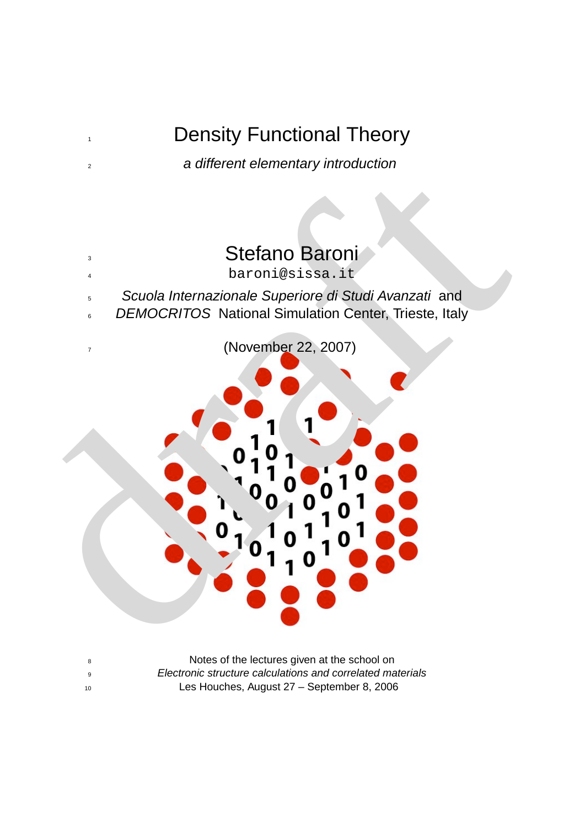## 1 Density Functional Theory

<sup>2</sup> a different elementary introduction

# **3** Stefano Baroni

- <sup>4</sup> baroni@sissa.it
- <sup>5</sup> Scuola Internazionale Superiore di Studi Avanzati and
- 6 DEMOCRITOS National Simulation Center, Trieste, Italy

Stefano Baroni<br>
Stefano Baroni<br>
Scuola Internazionale Superiore di Studi Avanzati and<br>
DEMOCRITOS National Simulation Center, Trieste, Italy<br>
(November 22, 2007)<br>
10 10 10 10 10 10<br>
10 10 10 10 10 10<br>
10 10 10 10 10 10<br>
10 <sup>7</sup> (November 22, 2007)

8 Notes of the lectures given at the school on <sup>9</sup> Electronic structure calculations and correlated materials <sup>10</sup> Les Houches, August 27 – September 8, 2006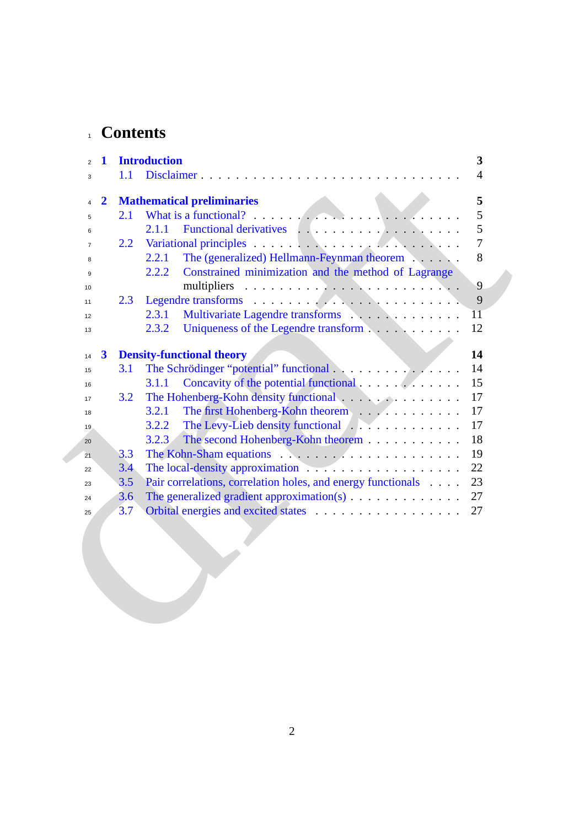## <sup>1</sup> **Contents**

| 1<br>$\overline{2}$              | <b>Introduction</b>                                                                          | 3                |
|----------------------------------|----------------------------------------------------------------------------------------------|------------------|
| 3                                | 1.1<br>Disclaimer                                                                            | 4                |
| $\overline{2}$<br>$\overline{4}$ | <b>Mathematical preliminaries</b>                                                            | 5                |
| 5                                | What is a functional? $\ldots$ , $\ldots$ , $\ldots$ , $\ldots$ , $\ldots$ , $\ldots$<br>2.1 | 5                |
| 6                                | 2.1.1                                                                                        | 5                |
| $\overline{7}$                   | 2.2                                                                                          | $\boldsymbol{7}$ |
| 8                                | The (generalized) Hellmann-Feynman theorem<br>2.2.1                                          | 8                |
| 9                                | Constrained minimization and the method of Lagrange<br>2.2.2                                 |                  |
| 10                               |                                                                                              | 9                |
| 11                               | 2.3                                                                                          | 9                |
| 12                               | 2.3.1                                                                                        | $\overline{11}$  |
| 13                               | 2.3.2<br>Uniqueness of the Legendre transform                                                | 12               |
|                                  |                                                                                              |                  |
| $\boldsymbol{3}$<br>14           | <b>Density-functional theory</b>                                                             | 14               |
| 15                               | 3.1                                                                                          | 14               |
| 16                               | 3.1.1                                                                                        | 15               |
| 17                               | The Hohenberg-Kohn density functional<br>3.2                                                 | 17               |
| 18                               | The first Hohenberg-Kohn theorem<br>3.2.1                                                    | 17               |
| 19                               | The Levy-Lieb density functional example 2014 and 2015<br>3.2.2                              | 17               |
| 20                               | The second Hohenberg-Kohn theorem<br>3.2.3                                                   | 18<br>19         |
| 21                               | 3.3<br>3.4                                                                                   | 22               |
| 22                               | 3.5<br>Pair correlations, correlation holes, and energy functionals                          | 23               |
| 23<br>24                         | The generalized gradient approximation(s) $\dots \dots \dots \dots$<br>3.6                   | 27               |
| 25                               | 3.7                                                                                          | 27               |
|                                  |                                                                                              |                  |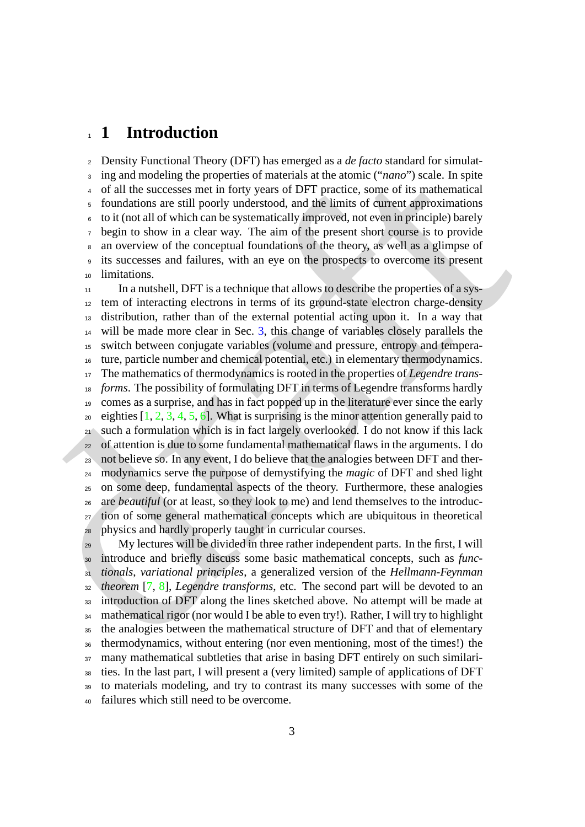### <span id="page-2-0"></span>**1 Introduction**

 Density Functional Theory (DFT) has emerged as a *de facto* standard for simulat- ing and modeling the properties of materials at the atomic ("*nano*") scale. In spite of all the successes met in forty years of DFT practice, some of its mathematical foundations are still poorly understood, and the limits of current approximations to it (not all of which can be systematically improved, not even in principle) barely begin to show in a clear way. The aim of the present short course is to provide an overview of the conceptual foundations of the theory, as well as a glimpse of its successes and failures, with an eye on the prospects to overcome its present limitations.

ing an[d](#page-29-0) modeling the p[r](#page-28-2)operties of m[a](#page-13-0)terials at the atomic ("*nano*") scale. In split  $\epsilon$  of all the successes met in forty years of DFPT practice, some of its mathematical<br> *c* foundations are still posity understood, a In a nutshell, DFT is a technique that allows to describe the properties of a sys- tem of interacting electrons in terms of its ground-state electron charge-density distribution, rather than of the external potential acting upon it. In a way that will be made more clear in Sec. 3, this change of variables closely parallels the switch between conjugate variables (volume and pressure, entropy and tempera- ture, particle number and chemical potential, etc.) in elementary thermodynamics. The mathematics of thermodynamics is rooted in the properties of *Legendre trans- forms*. The possibility of formulating DFT in terms of Legendre transforms hardly comes as a surprise, and has in fact popped up in the literature ever since the early <sup>20</sup> eighties  $[1, 2, 3, 4, 5, 6]$ . What is surprising is the minor attention generally paid to such a formulation which is in fact largely overlooked. I do not know if this lack of attention is due to some fundamental mathematical flaws in the arguments. I do not believe so. In any event, I do believe that the analogies between DFT and ther- modynamics serve the purpose of demystifying the *magic* of DFT and shed light on some deep, fundamental aspects of the theory. Furthermore, these analogies are *beautiful* (or at least, so they look to me) and lend themselves to the introduc- tion of some general mathematical concepts which are ubiquitous in theoretical physics and hardly properly taught in curricular courses.

 My lectures will be divided in three rather independent parts. In the first, I will introduce and briefly discuss some basic mathematical concepts, such as *func- tionals*, *variational principles*, a generalized version of the *Hellmann-Feynman theorem* [7, 8], *Legendre transforms*, etc. The second part will be devoted to an introduction of DFT along the lines sketched above. No attempt will be made at mathematical rigor (nor would I be able to even try!). Rather, I will try to highlight the analogies between the mathematical structure of DFT and that of elementary thermodynamics, without entering (nor even mentioning, most of the times!) the many mathematical subtleties that arise in basing DFT entirely on such similari- ties. In the last part, I will present a (very limited) sample of applications of DFT to materials modeling, and try to contrast its many successes with some of the failures which still need to be overcome.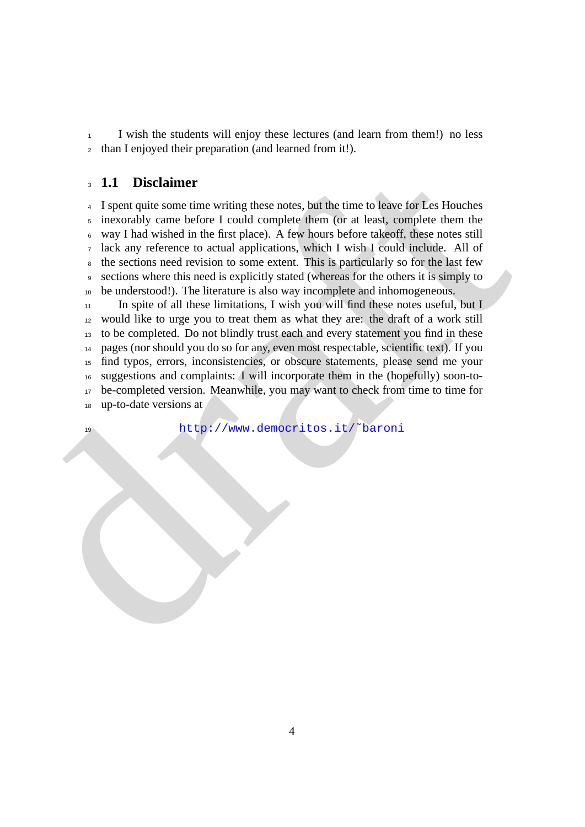I wish the students will enjoy these lectures (and learn from them!) no less than I enjoyed their preparation (and learned from it!).

### <span id="page-3-0"></span>**1.1 Disclaimer**

 I spent quite some time writing these notes, but the time to leave for Les Houches inexorably came before I could complete them (or at least, complete them the way I had wished in the first place). A few hours before takeoff, these notes still lack any reference to actual applications, which I wish I could include. All of the sections need revision to some extent. This is particularly so for the last few sections where this need is explicitly stated (whereas for the others it is simply to be understood!). The literature is also way incomplete and inhomogeneous.

**1.1 Disclaimer**<br> **4** 1 spent quite some time writing these notes, but the time to leave for Lees Houches<br>  $\alpha$  inversibly cannel before 1 could complete them (or at least), complete them in<br>  $\alpha$  way I had wished in the In spite of all these limitations, I wish you will find these notes useful, but I would like to urge you to treat them as what they are: the draft of a work still to be completed. Do not blindly trust each and every statement you find in these pages (nor should you do so for any, even most respectable, scientific text). If you find typos, errors, inconsistencies, or obscure statements, please send me your suggestions and complaints: I will incorporate them in the (hopefully) soon-to- be-completed version. Meanwhile, you may want to check from time to time for up-to-date versions at

http://www.democritos.it/˜baroni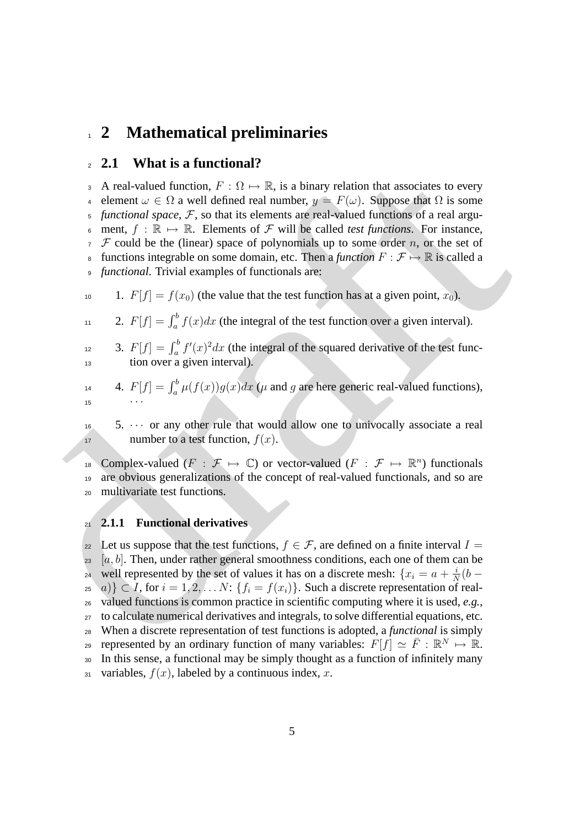### <span id="page-4-0"></span><sup>1</sup> **2 Mathematical preliminaries**

### <span id="page-4-1"></span><sup>2</sup> **2.1 What is a functional?**

3 A real-valued function,  $F : \Omega \mapsto \mathbb{R}$ , is a binary relation that associates to every 4 element  $\omega \in \Omega$  a well defined real number,  $y = F(\omega)$ . Suppose that  $\Omega$  is some  $5$  *functional space*,  $F$ , so that its elements are real-valued functions of a real argu-6 ment,  $f : \mathbb{R} \mapsto \mathbb{R}$ . Elements of F will be called *test functions*. For instance,  $\tau$   $\mathcal F$  could be the (linear) space of polynomials up to some order n, or the set of 8 functions integrable on some domain, etc. Then a *function*  $F : \mathcal{F} \mapsto \mathbb{R}$  is called a <sup>9</sup> *functional*. Trivial examples of functionals are:

10 1.  $F[f] = f(x_0)$  (the value that the test function has at a given point,  $x_0$ ).

$$
11 \t 2. \t F[f] = \int_a^b f(x)dx
$$
 (the integral of the test function over a given interval).

- <sup>12</sup> 3.  $F[f] = \int_a^b f'(x)^2 dx$  (the integral of the squared derivative of the test func-<sup>13</sup> tion over a given interval).
- 4.  $F[f] = \int_a^b \mu(f(x))g(x)dx$  ( $\mu$  and  $g$  are here generic real-valued functions), 15  $\cdots$

 $16$  5.  $\cdots$  or any other rule that would allow one to univocally associate a real 17 number to a test function,  $f(x)$ .

18 Complex-valued  $(F : \mathcal{F} \mapsto \mathbb{C})$  or vector-valued  $(F : \mathcal{F} \mapsto \mathbb{R}^n)$  functionals <sup>19</sup> are obvious generalizations of the concept of real-valued functionals, and so are <sup>20</sup> multivariate test functions.

### <span id="page-4-2"></span><sup>21</sup> **2.1.1 Functional derivatives**

2 A real valued function  $R$ . (1)  $\mu$  is a binary relation that associates to every<br>
4 A real-valued function,  $F : \Omega \mapsto \mathbb{R}$ . is a binary relation that so series the first of  $\Omega$  is some expected. The same  $\mu$  is con 22 Let us suppose that the test functions,  $f \in \mathcal{F}$ , are defined on a finite interval  $I =$  $23 \quad [a, b]$ . Then, under rather general smoothness conditions, each one of them can be well represented by the set of values it has on a discrete mesh:  $\{x_i = a + \frac{i}{\Delta}\}$ <sup>24</sup> well represented by the set of values it has on a discrete mesh:  $\{x_i = a + \frac{i}{N}(b - a)\}$  $\{z_5 \mid a\} \subset I$ , for  $i = 1, 2, \ldots N$ :  $\{f_i = f(x_i)\}\$ . Such a discrete representation of real-<sup>26</sup> valued functions is common practice in scientific computing where it is used, *e.g.*, <sup>27</sup> to calculate numerical derivatives and integrals, to solve differential equations, etc. <sup>28</sup> When a discrete representation of test functions is adopted, a *functional* is simply represented by an ordinary function of many variables:  $F[f] \simeq \overline{F} : \mathbb{R}^N \mapsto \mathbb{R}$ . <sup>30</sup> In this sense, a functional may be simply thought as a function of infinitely many 31 variables,  $f(x)$ , labeled by a continuous index, x.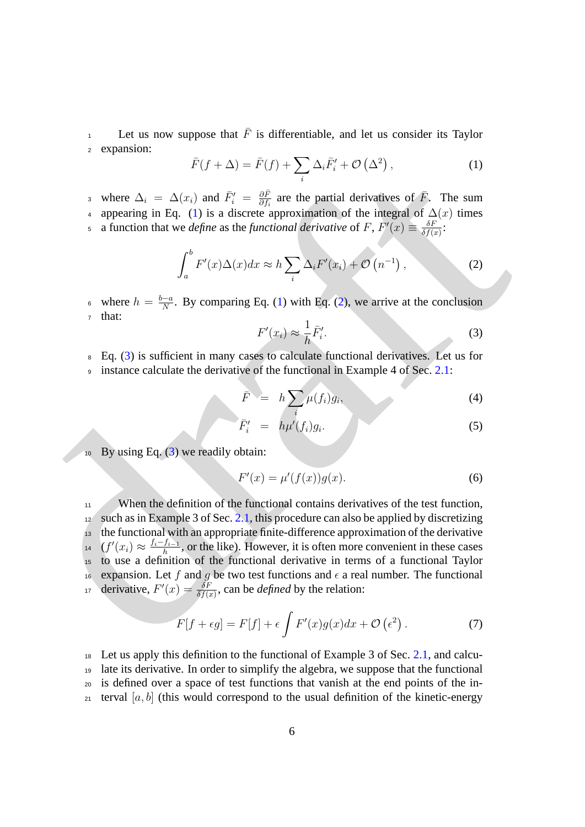Let us now suppose that  $\overline{F}$  is differentiable, and let us consider its Taylor <sup>2</sup> expansion:

<span id="page-5-0"></span>
$$
\bar{F}(f+\Delta) = \bar{F}(f) + \sum_{i} \Delta_{i} \bar{F}'_{i} + \mathcal{O}\left(\Delta^{2}\right),\tag{1}
$$

where  $\Delta_i = \Delta(x_i)$  and  $\bar{F}_i' = \frac{\partial \bar{F}_i}{\partial t_i}$ 3 where  $\Delta_i = \Delta(x_i)$  and  $\bar{F}_i' = \frac{\partial \bar{F}}{\partial f_i}$  are the partial derivatives of  $\bar{F}$ . The sum 4 appearing in Eq. (1) is a discrete approximation of the integral of  $\Delta(x)$  times

a function that we *define* as the *functional derivative* of F,  $F'(x) \equiv \frac{\delta F}{\delta f(x)}$ 5 a function that we *define* as the *functional derivative* of F,  $F'(x) \equiv \frac{\delta F}{\delta f(x)}$ :

$$
\int_{a}^{b} F'(x) \Delta(x) dx \approx h \sum_{i} \Delta_{i} F'(x_{i}) + \mathcal{O}\left(n^{-1}\right),\tag{2}
$$

<span id="page-5-2"></span>where  $h = \frac{b-a}{N}$ • where  $h = \frac{b-a}{N}$ . By comparing Eq. (1) with Eq. (2), we arrive at the conclusion <sup>7</sup> that:

<span id="page-5-1"></span>
$$
F'(x_i) \approx \frac{1}{h} \bar{F}'_i.
$$
 (3)

<sup>8</sup> Eq. (3) is sufficient in many cases to calculate functional derivatives. Let us for 9 instance calculate the derivative of the functional in Example 4 of Sec. 2.1:

$$
\bar{F} = h \sum_{i} \mu(f_i) g_i,
$$
\n(4)

$$
\bar{F}'_i = h\mu'(f_i)g_i.
$$
\n(5)

 $10$  By using Eq. (3) we readily obtain:

$$
F'(x) = \mu'(f(x))g(x). \tag{6}
$$

[a](#page-5-0) where  $\Delta_i = \Delta(x_i, \Delta) = F(j) + \sum_i \Delta_i F_i + O(\Delta)$ .<br>
a where  $\Delta_i = \Delta_i F_i$  and  $F_i = \frac{\partial F_i}{\partial t}$  $F_i = \frac{\partial F_i}{\partial t}$  $F_i = \frac{\partial F_i}{\partial t}$  are the partial editivatives of *F*. The sum<br>
a suppressimp in Eq. (1) is a discrete approximation of the integral of  $\Delta(x)$  times<br>
a fun <sup>11</sup> When the definition of the functional contains derivatives of the test function,  $12$  such as in Example 3 of Sec. 2.1, this procedure can also be applied by discretizing <sup>13</sup> the functional with an appropriate finite-difference approximation of the derivative  $(f'(x_i) \approx \frac{f_i - f_{i-1}}{h})$  $h_1$ <sup>4</sup>  $(f'(x_i) \approx \frac{f_i - f_{i-1}}{h}$ , or the like). However, it is often more convenient in these cases <sup>15</sup> to use a definition of the functional derivative in terms of a functional Taylor <sup>16</sup> expansion. Let f and g be two test functions and  $\epsilon$  a real number. The functional derivative,  $F'(x) = \frac{\delta F}{\delta f(x)}$ , can be *defined* by the relation:

$$
F[f + \epsilon g] = F[f] + \epsilon \int F'(x)g(x)dx + \mathcal{O}(\epsilon^2).
$$
 (7)

 Let us apply this definition to the functional of Example 3 of Sec. [2.1,](#page-4-1) and calcu- late its derivative. In order to simplify the algebra, we suppose that the functional is defined over a space of test functions that vanish at the end points of the in-<sup>21</sup> terval [a, b] (this would correspond to the usual definition of the kinetic-energy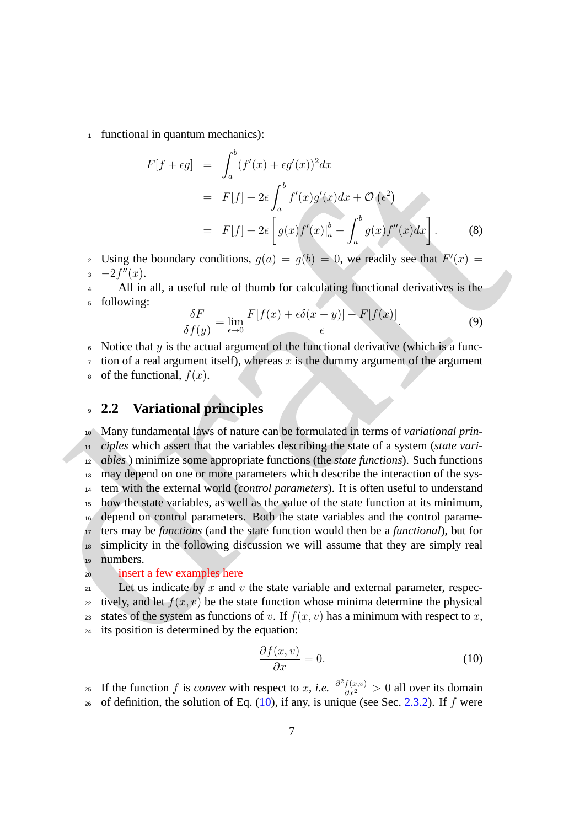<sup>1</sup> functional in quantum mechanics):

$$
F[f + \epsilon g] = \int_a^b (f'(x) + \epsilon g'(x))^2 dx
$$
  
=  $F[f] + 2\epsilon \int_a^b f'(x)g'(x)dx + \mathcal{O}(\epsilon^2)$   
=  $F[f] + 2\epsilon \left[ g(x)f'(x)|_a^b - \int_a^b g(x)f''(x)dx \right].$  (8)

2 Using the boundary conditions,  $g(a) = g(b) = 0$ , we readily see that  $F'(x) =$  $-2f''(x)$ .

<sup>4</sup> All in all, a useful rule of thumb for calculating functional derivatives is the <sup>5</sup> following:

$$
\frac{\delta F}{\delta f(y)} = \lim_{\epsilon \to 0} \frac{F[f(x) + \epsilon \delta(x - y)] - F[f(x)]}{\epsilon}.
$$
\n(9)

 $6$  Notice that y is the actual argument of the functional derivative (which is a func-

 $\tau$  tion of a real argument itself), whereas x is the dummy argument of the argument

 $\circ$  of the functional,  $f(x)$ .

### <span id="page-6-0"></span><sup>9</sup> **2.2 Variational principles**

 $F[y + cg] = \int_a (f(x) - cg(x)) dx$ <br>  $= F[f] + 2e \int_a^b f'(x)f(x)dx + O(r^2)$ <br>  $= F[f] + 2e \int_a^b g(x)f'(x)dx - \int_a^b g(x)f''(x)dx$ <br>  $= 2[rg]$ .  
\nUsing the boundary conditions,  $g(u) = g(b) = 0$ , we readily see that  $F'(x) = 2[rg]$ .  
\nAdding the boundary conditions,  $g(u) = g(b) = 0$ , we readily see that  $F'(x) = 4$ . All in all, a useful rule of thumb for calculating functional derivatives is the following:  
\n
$$
\frac{\delta F'}{\delta f(y)} = \
$$
 Many fundamental laws of nature can be formulated in terms of *variational prin- ciples* which assert that the variables describing the state of a system (*state vari- ables* ) minimize some appropriate functions (the *state functions*). Such functions 13 may depend on one or more parameters which describe the interaction of the sys- tem with the external world (*control parameters*). It is often useful to understand how the state variables, as well as the value of the state function at its minimum, depend on control parameters. Both the state variables and the control parame- ters may be *functions* (and the state function would then be a *functional*), but for simplicity in the following discussion we will assume that they are simply real <sup>19</sup> numbers.

#### <sup>20</sup> insert a few examples here

21 Let us indicate by x and v the state variable and external parameter, respec-22 tively, and let  $f(x, y)$  be the state function whose minima determine the physical 23 states of the system as functions of v. If  $f(x, v)$  has a minimum with respect to x, <sup>24</sup> its position is determined by the equation:

<span id="page-6-1"></span>
$$
\frac{\partial f(x,v)}{\partial x} = 0.
$$
 (10)

25 If the function f is *convex* with respect to x, *i.e.*  $\frac{\partial^2 f(x,v)}{\partial x^2} > 0$  all over its domain 26 of definition, the solution of Eq.  $(10)$ , if any, is unique (see Sec. [2.3.2\)](#page-11-0). If f were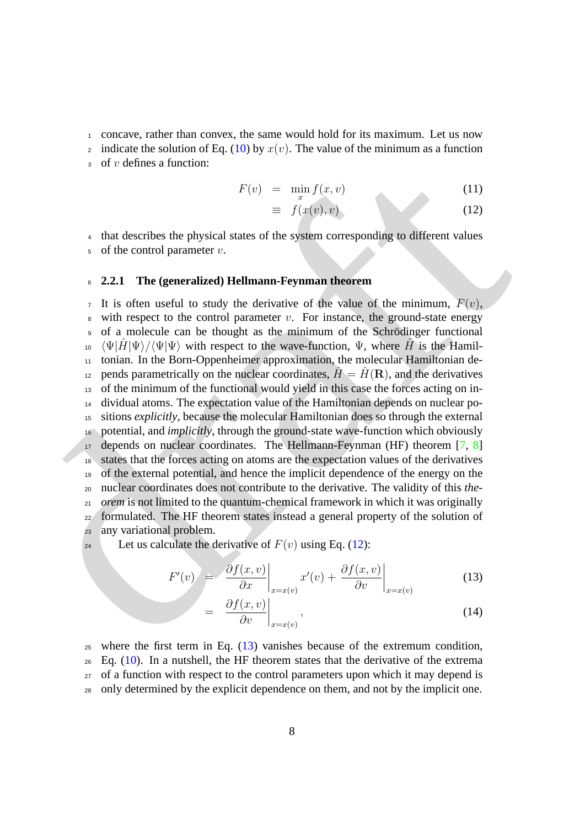<sup>1</sup> concave, rather than convex, the same would hold for its maximum. Let us now

2 indicate the solution of Eq. [\(10\)](#page-6-1) by  $x(v)$ . The value of the minimum as a function

 $\sigma$  of *v* defines a function:

<span id="page-7-1"></span>
$$
F(v) = \min_{x} f(x, v) \tag{11}
$$

$$
\equiv f(x(v), v) \tag{12}
$$

<sup>4</sup> that describes the physical states of the system corresponding to different values  $5$  of the control parameter  $v$ .

### <span id="page-7-0"></span><sup>6</sup> **2.2.1 The (generalized) Hellmann-Feynman theorem**

 $F(x) = \min_{x} f(x, y)$  (11)<br>  $= f(x', y)$  (12)<br>  $= \int (x', y)$  (12)<br>
4 that describes the physical states of the system corresponding to different values<br>
• of the control parameter  $x$ .<br>
• 1. is often useful to study the derivative of  $\tau$  It is often useful to study the derivative of the value of the minimum,  $F(v)$ ,  $\frac{1}{8}$  with respect to the control parameter v. For instance, the ground-state energy 9 of a molecule can be thought as the minimum of the Schrödinger functional  $\psi_{10} \langle \Psi | \hat{H} | \Psi \rangle / \langle \Psi | \Psi \rangle$  with respect to the wave-function,  $\Psi$ , where  $\hat{H}$  is the Hamil- tonian. In the Born-Oppenheimer approximation, the molecular Hamiltonian de-<sup>12</sup> pends parametrically on the nuclear coordinates,  $\hat{H} = \hat{H}(\mathbf{R})$ , and the derivatives of the minimum of the functional would yield in this case the forces acting on in- dividual atoms. The expectation value of the Hamiltonian depends on nuclear po- sitions *explicitly*, because the molecular Hamiltonian does so through the external potential, and *implicitly*, through the ground-state wave-function which obviously depends on nuclear coordinates. The Hellmann-Feynman (HF) theorem  $[7, 8]$  states that the forces acting on atoms are the expectation values of the derivatives of the external potential, and hence the implicit dependence of the energy on the nuclear coordinates does not contribute to the derivative. The validity of this *the-*<sup>21</sup> *orem* is not limited to the quantum-chemical framework in which it was originally formulated. The HF theorem states instead a general property of the solution of any variational problem.

24 Let us calculate the derivative of  $F(v)$  using Eq. (12):

=

<span id="page-7-2"></span>
$$
F'(v) = \left. \frac{\partial f(x, v)}{\partial x} \right|_{x = x(v)} x'(v) + \left. \frac{\partial f(x, v)}{\partial v} \right|_{x = x(v)}
$$
(13)

$$
\left. \frac{\partial f(x, v)}{\partial v} \right|_{x = x(v)},\tag{14}
$$

where the first term in Eq.  $(13)$  vanishes because of the extremum condition, Eq. [\(10\)](#page-6-1). In a nutshell, the HF theorem states that the derivative of the extrema of a function with respect to the control parameters upon which it may depend is only determined by the explicit dependence on them, and not by the implicit one.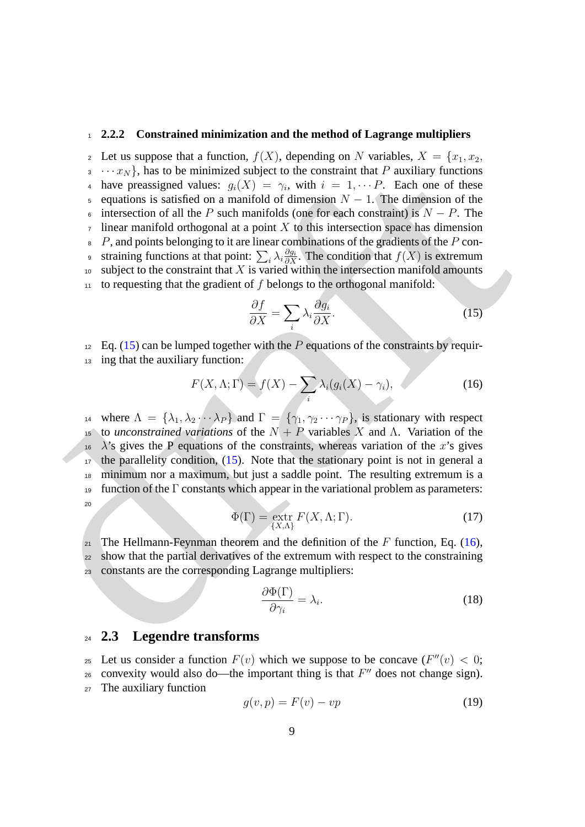### <span id="page-8-0"></span><sup>1</sup> **2.2.2 Constrained minimization and the method of Lagrange multipliers**

3.  $\cdots x_N$ ), has to be minimized and<br>particular different the constraint that P anxiliar  $\sin 2x$ . Each one of these<br>singular is a statisfied on a manifold of dimension  $N = 1$ . The dimension of the<br>singular is a statisfied 2 Let us suppose that a function,  $f(X)$ , depending on N variables,  $X = \{x_1, x_2,$  $\{3 \cdots x_N\}$ , has to be minimized subject to the constraint that P auxiliary functions 4 have preassigned values:  $g_i(X) = \gamma_i$ , with  $i = 1, \dots P$ . Each one of these 5 equations is satisfied on a manifold of dimension  $N - 1$ . The dimension of the 6 intersection of all the P such manifolds (one for each constraint) is  $N - P$ . The linear manifold orthogonal at a point  $X$  to this intersection space has dimension  $8 \, P$ , and points belonging to it are linear combinations of the gradients of the P con-∍ straining functions at that point:  $\sum_i \lambda_i \frac{\partial g_i}{\partial X}$ . The condition that  $f(X)$  is extremum  $10$  subject to the constraint that X is varied within the intersection manifold amounts  $11$  to requesting that the gradient of f belongs to the orthogonal manifold:

<span id="page-8-3"></span><span id="page-8-2"></span>
$$
\frac{\partial f}{\partial X} = \sum_{i} \lambda_i \frac{\partial g_i}{\partial X}.
$$
 (15)

 $_{12}$  Eq. (15) can be lumped together with the P equations of the constraints by requir-

ing that the auxiliary function:

$$
F(X, \Lambda; \Gamma) = f(X) - \sum_{i} \lambda_i (g_i(X) - \gamma_i), \qquad (16)
$$

14 where  $\Lambda = {\lambda_1, \lambda_2 \cdots \lambda_P}$  and  $\overline{\Gamma} = {\gamma_1, \gamma_2 \cdots \gamma_P}$ , is stationary with respect 15 to *unconstrained variations* of the  $N + P$  variables X and  $\Lambda$ . Variation of the  $16 \lambda$ 's gives the P equations of the constraints, whereas variation of the x's gives  $17$  the parallelity condition,  $(15)$ . Note that the stationary point is not in general a <sup>18</sup> minimum nor a maximum, but just a saddle point. The resulting extremum is a 19 function of the  $\Gamma$  constants which appear in the variational problem as parameters: 20

$$
\Phi(\Gamma) = \underset{\{X,\Lambda\}}{\text{extr}} F(X,\Lambda;\Gamma). \tag{17}
$$

21 The Hellmann-Feynman theorem and the definition of the F function, Eq. (16), <sup>22</sup> show that the partial derivatives of the extremum with respect to the constraining <sup>23</sup> constants are the corresponding Lagrange multipliers:

$$
\frac{\partial \Phi(\Gamma)}{\partial \gamma_i} = \lambda_i. \tag{18}
$$

### <span id="page-8-1"></span><sup>24</sup> **2.3 Legendre transforms**

25 Let us consider a function  $F(v)$  which we suppose to be concave  $(F''(v) < 0;$  $26$  convexity would also do—the important thing is that  $F''$  does not change sign). <sup>27</sup> The auxiliary function

<span id="page-8-4"></span>
$$
g(v, p) = F(v) - vp \tag{19}
$$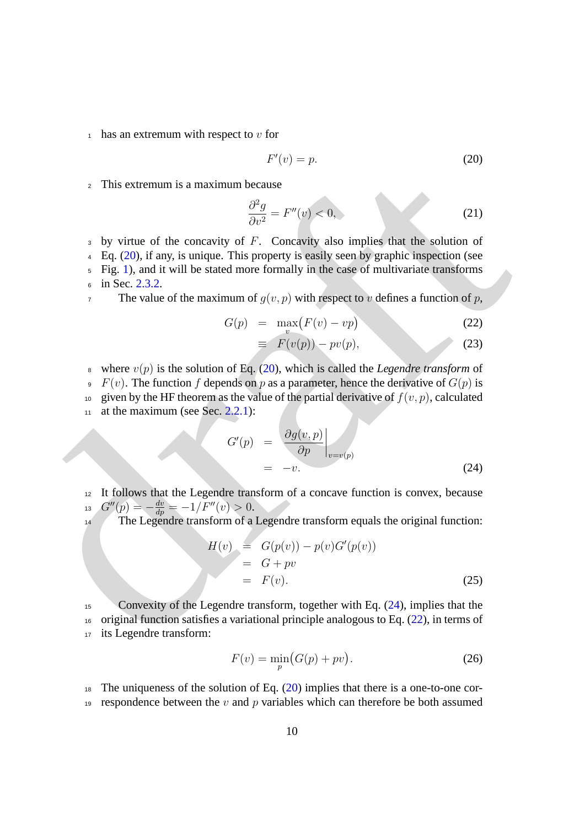$_1$  has an extremum with respect to v for

<span id="page-9-0"></span>
$$
F'(v) = p. \tag{20}
$$

<sup>2</sup> This extremum is a maximum because

$$
\frac{\partial^2 g}{\partial v^2} = F''(v) < 0,\tag{21}
$$

 $3$  by virtue of the concavity of  $F$ . Concavity also implies that the solution of

<sup>4</sup> Eq. (20), if any, is unique. This property is easily seen by graphic inspection (see

<sup>5</sup> Fig. 1), and it will be stated more formally in the case of multivariate transforms 6 in Sec. 2.3.2.

7 The value of the maximum of  $g(v, p)$  with respect to v defines a function of p,

<span id="page-9-2"></span>
$$
G(p) = \max_{v} (F(v) - vp) \tag{22}
$$

$$
\equiv F(v(p)) - pv(p), \tag{23}
$$

<sup>8</sup> where  $v(p)$  is the solution of Eq. (20), which is called the *Legendre transform* of

 $\overline{P}(v)$ . The function f depends on p as a parameter, hence the derivative of  $G(p)$  is

10 given by the HF theorem as the value of the partial derivative of  $f(v, p)$ , calculated

11 at the maximum (see Sec.  $2.2.1$ ):

<span id="page-9-1"></span>
$$
G'(p) = \left. \frac{\partial g(v, p)}{\partial p} \right|_{v=v(p)}
$$
  
= -v. (24)

<sup>12</sup> It follows that the Legendre transform of a concave function is convex, because 13  $G''(p) = -\frac{dv}{dp} = -1/F''(v) > 0.$ 

14 The Legendre transform of a Legendre transform equals the original function:

$$
H(v) = G(p(v)) - p(v)G'(p(v))
$$
  
= G + pv  
= F(v). (25)

7 This extremum is a maximum because<br>  $\frac{\partial^2 g}{\partial t^2} = F^a(v) \le 0$  $\frac{\partial^2 g}{\partial t^2} = F^a(v) \le 0$  $\frac{\partial^2 g}{\partial t^2} = F^a(v) \le 0$ ,<br>
9 by virtue o[f](#page-9-0) the concavity of  $F$ . Concavity also implies that the solution of<br>
4 Eq. (20), if any, is unique. This property is easily seen by graphic i Convexity of the Legendre transform, together with Eq. (24), implies that the original function satisfies a variational principle analogous to Eq. (22), in terms of its Legendre transform:

<span id="page-9-3"></span>
$$
F(v) = \min_{p} \left( G(p) + pv \right). \tag{26}
$$

<sup>18</sup> The uniqueness of the solution of Eq.  $(20)$  implies that there is a one-to-one cor-19 respondence between the v and p variables which can therefore be both assumed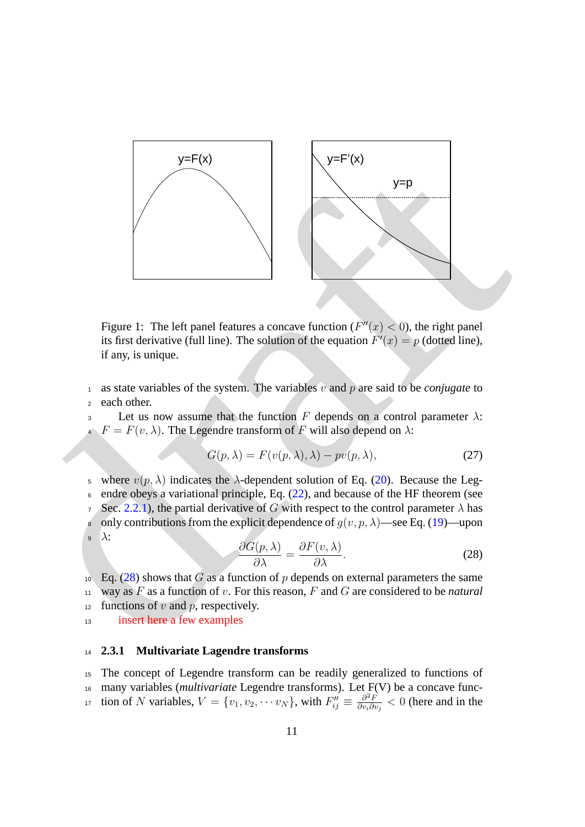

<span id="page-10-1"></span>Figure 1: The left panel features a concave function ( $F''(x) < 0$ ), the right panel its first derivative (full line). The solution of the equation  $F'(x) = p$  (dotted line), if any, is unique.

<sup>1</sup> as state variables of the system. The variables  $v$  and  $p$  are said to be *conjugate* to <sup>2</sup> each other.

3 Let us now assume that the function F depends on a control parameter  $\lambda$ :  $F = F(v, \lambda)$ . The Legendre transform of F will also depend on  $\lambda$ :

$$
G(p, \lambda) = F(v(p, \lambda), \lambda) - pv(p, \lambda), \qquad (27)
$$

5 where  $v(p, \lambda)$  indicates the  $\lambda$ -dependent solution of Eq. (20). Because the Leg- $\epsilon$  endre obeys a variational principle, Eq. (22), and because of the HF theorem (see 7 Sec. 2.2.1), the partial derivative of G with respect to the control parameter  $\lambda$  has

<span id="page-10-2"></span>8 only contributions from the explicit dependence of  $g(v, p, \lambda)$ —see Eq. (19)—upon  $\mathfrak{s}$   $\lambda$ :

$$
\frac{\partial G(p,\lambda)}{\partial \lambda} = \frac{\partial F(v,\lambda)}{\partial \lambda}.
$$
 (28)

10 Eq. (28) shows that G as a function of p depends on external parameters the same <sup>11</sup> way as F as a function of v. For this reason, F and G are considered to be *natural* 12 functions of v and p, respectively.

<sup>13</sup> insert here a few examples

### <span id="page-10-0"></span><sup>14</sup> **2.3.1 Multivariate Lagendre transforms**

<sup>15</sup> The concept of Legendre transform can be readily generalized to functions of <sup>16</sup> many variables (*multivariate* Legendre transforms). Let F(V) be a concave function of N variables,  $V = \{v_1, v_2, \cdots v_N\}$ , with  $F''_{ij} \equiv \frac{\partial^2 F}{\partial v_i \partial i}$ <sup>17</sup> tion of N variables,  $V = \{v_1, v_2, \dots v_N\}$ , with  $F''_{ij} \equiv \frac{\partial^2 F}{\partial v_i \partial v_j} < 0$  (here and in the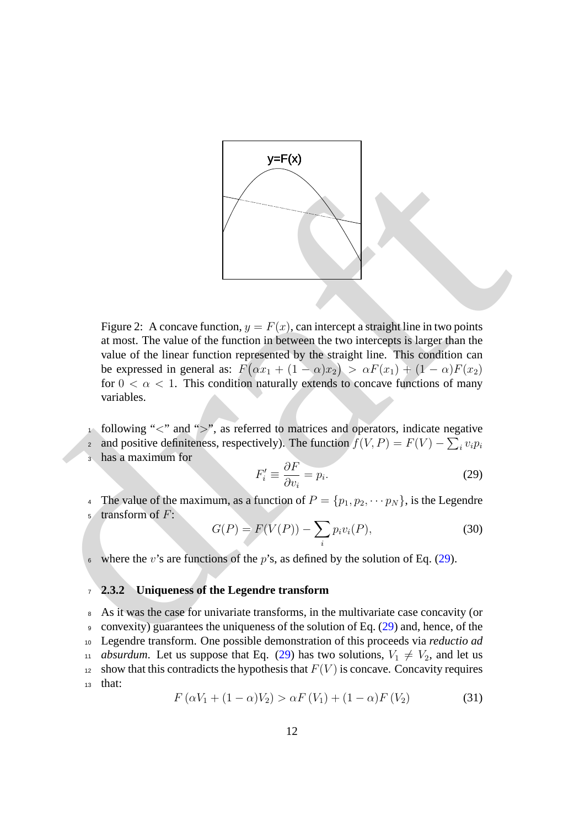

Figure 2: A concave function,  $y = F(x)$ , can intercept a straight line in two points<br>at most. The value of the function in between the two intercepts slarger than the<br>value of the linear function represented by the straight Figure 2: A concave function,  $y = F(x)$ , can intercept a straight line in two points at most. The value of the function in between the two intercepts is larger than the value of the linear function represented by the straight line. This condition can be expressed in general as:  $F(\alpha x_1 + (1 - \alpha)x_2) > \alpha F(x_1) + (1 - \alpha)F(x_2)$ for  $0 < \alpha < 1$ . This condition naturally extends to concave functions of many variables.

- <span id="page-11-2"></span>following "<" and ">", as referred to matrices and operators, indicate negative
- and positive definiteness, respectively). The function  $f(V, P) = F(V) \sum_i v_i p_i$ 2
- <sup>3</sup> has a maximum for

<span id="page-11-1"></span>
$$
F_i' \equiv \frac{\partial F}{\partial v_i} = p_i.
$$
 (29)

<sup>4</sup> The value of the maximum, as a function of  $P = \{p_1, p_2, \cdots p_N\}$ , is the Legendre <sup>5</sup> transform of F:

$$
G(P) = F(V(P)) - \sum_{i} p_i v_i(P),
$$
\n(30)

 $\epsilon$  where the *v*'s are functions of the *p*'s, as defined by the solution of Eq. (29).

### <span id="page-11-0"></span><sup>7</sup> **2.3.2 Uniqueness of the Legendre transform**

<sup>8</sup> As it was the case for univariate transforms, in the multivariate case concavity (or <sup>9</sup> convexity) guarantees the uniqueness of the solution of Eq. (29) and, hence, of the <sup>10</sup> Legendre transform. One possible demonstration of this proceeds via *reductio ad* 11 *absurdum*. Let us suppose that Eq. [\(29\)](#page-11-1) has two solutions,  $V_1 \neq V_2$ , and let us <sup>12</sup> show that this contradicts the hypothesis that  $F(V)$  is concave. Concavity requires <sup>13</sup> that:  $F(\alpha V_1 + (1 - \alpha)V_2) > \alpha F(V_1) + (1 - \alpha)F(V_2)$  (31)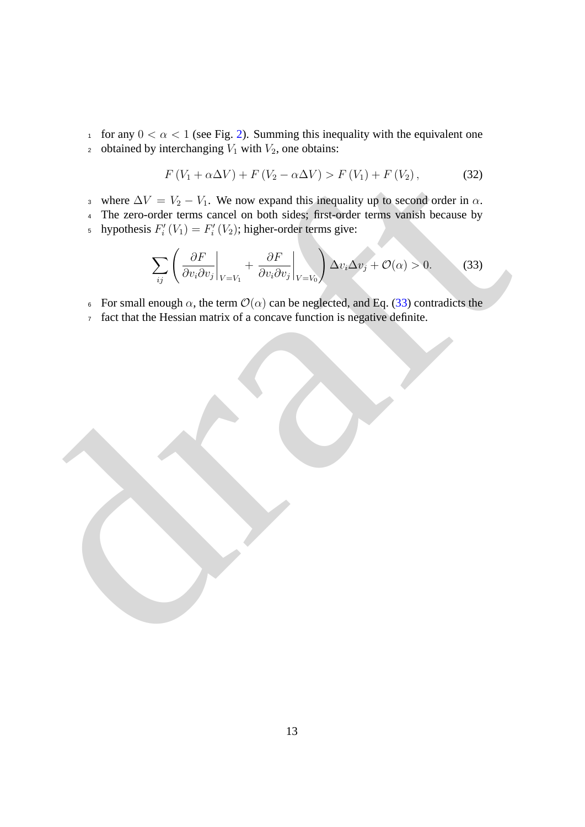1 for any  $0 < \alpha < 1$  (see Fig. [2\)](#page-11-2). Summing this inequality with the equivalent one 2 obtained by interchanging  $V_1$  with  $V_2$ , one obtains:

<span id="page-12-0"></span>
$$
F(V_1 + \alpha \Delta V) + F(V_2 - \alpha \Delta V) > F(V_1) + F(V_2), \qquad (32)
$$

- 3 where  $\Delta V = V_2 V_1$ . We now expand this inequality up to second order in  $\alpha$ .
- <sup>4</sup> The zero-order terms cancel on both sides; first-order terms vanish because by <sup>5</sup> hypothesis  $F'_{i}(V_{1}) = F'_{i}(V_{2})$ ; higher-order terms give:

$$
\sum_{ij} \left( \frac{\partial F}{\partial v_i \partial v_j} \bigg|_{V=V_1} + \frac{\partial F}{\partial v_i \partial v_j} \bigg|_{V=V_0} \right) \Delta v_i \Delta v_j + \mathcal{O}(\alpha) > 0. \tag{33}
$$

- <sup>6</sup> For small enough α, the term O(α) can be neglected, and Eq. (33) contradicts the
- <sup>7</sup> fact that the Hessian matrix of a concave function is negative definite.

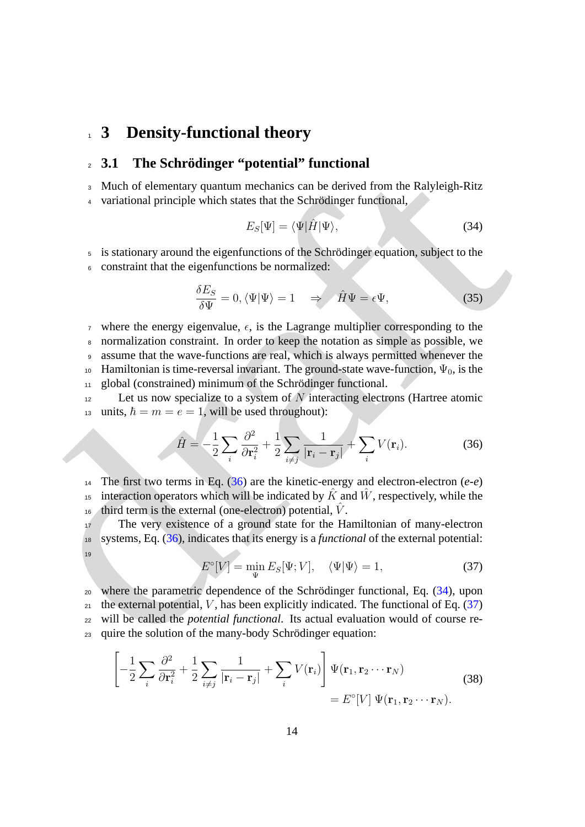### <span id="page-13-0"></span><sup>1</sup> **3 Density-functional theory**

### <span id="page-13-1"></span><sup>2</sup> **3.1 The Schrodinger "potential" functional ¨**

<sup>3</sup> Much of elementary quantum mechanics can be derived from the Ralyleigh-Ritz

4 variational principle which states that the Schrödinger functional,

<span id="page-13-3"></span>
$$
E_S[\Psi] = \langle \Psi | \hat{H} | \Psi \rangle,\tag{34}
$$

5 is stationary around the eigenfunctions of the Schrödinger equation, subject to the

<sup>6</sup> constraint that the eigenfunctions be normalized:

$$
\frac{\delta E_S}{\delta \Psi} = 0, \langle \Psi | \Psi \rangle = 1 \quad \Rightarrow \quad \hat{H} \Psi = \epsilon \Psi, \tag{35}
$$

<sup>7</sup> where the energy eigenvalue,  $\epsilon$ , is the Lagrange multiplier corresponding to the

<sup>8</sup> normalization constraint. In order to keep the notation as simple as possible, we

<sup>9</sup> assume that the wave-functions are real, which is always permitted whenever the

10 Hamiltonian is time-reversal invariant. The ground-state wave-function,  $\Psi_0$ , is the

11 global (constrained) minimum of the Schrödinger functional.

 $12$  Let us now specialize to a system of N interacting electrons (Hartree atomic 13 units,  $\hbar = m = e = 1$ , will be used throughout):

<span id="page-13-2"></span>
$$
\hat{H} = -\frac{1}{2} \sum_{i} \frac{\partial^2}{\partial \mathbf{r}_i^2} + \frac{1}{2} \sum_{i \neq j} \frac{1}{|\mathbf{r}_i - \mathbf{r}_j|} + \sum_{i} V(\mathbf{r}_i).
$$
 (36)

14 The first two terms in Eq.  $(36)$  are the kinetic-energy and electron-electron  $(e-e)$ <sup>15</sup> interaction operators which will be indicated by  $\hat{K}$  and  $\hat{W}$ , respectively, while the third term is the external (one-electron) potential,  $\hat{V}$ .

<span id="page-13-4"></span><sup>17</sup> The very existence of a ground state for the Hamiltonian of many-electron <sup>18</sup> systems, Eq. (36), indicates that its energy is a *functional* of the external potential: 19

<span id="page-13-5"></span>
$$
E^{\circ}[V] = \min_{\Psi} E_S[\Psi; V], \quad \langle \Psi | \Psi \rangle = 1, \tag{37}
$$

3 And of elementary quantum mechanics can be derived from the Ralyleigh-Ritz<br>
4 Much of elementary quantum mechanics can be derived from the Ralyleigh-Ritz<br>
4 variational principle which states that the Schrödinger functi  $20$  where the parametric dependence of the Schrödinger functional, Eq.  $(34)$ , upon <sup>21</sup> the external potential, V, has been explicitly indicated. The functional of Eq.  $(37)$ <sup>22</sup> will be called the *potential functional*. Its actual evaluation would of course re-23 quire the solution of the many-body Schrödinger equation:

$$
\left[ -\frac{1}{2} \sum_{i} \frac{\partial^2}{\partial \mathbf{r}_i^2} + \frac{1}{2} \sum_{i \neq j} \frac{1}{|\mathbf{r}_i - \mathbf{r}_j|} + \sum_{i} V(\mathbf{r}_i) \right] \Psi(\mathbf{r}_1, \mathbf{r}_2 \cdots \mathbf{r}_N)
$$
\n
$$
= E^{\circ}[V] \Psi(\mathbf{r}_1, \mathbf{r}_2 \cdots \mathbf{r}_N).
$$
\n(38)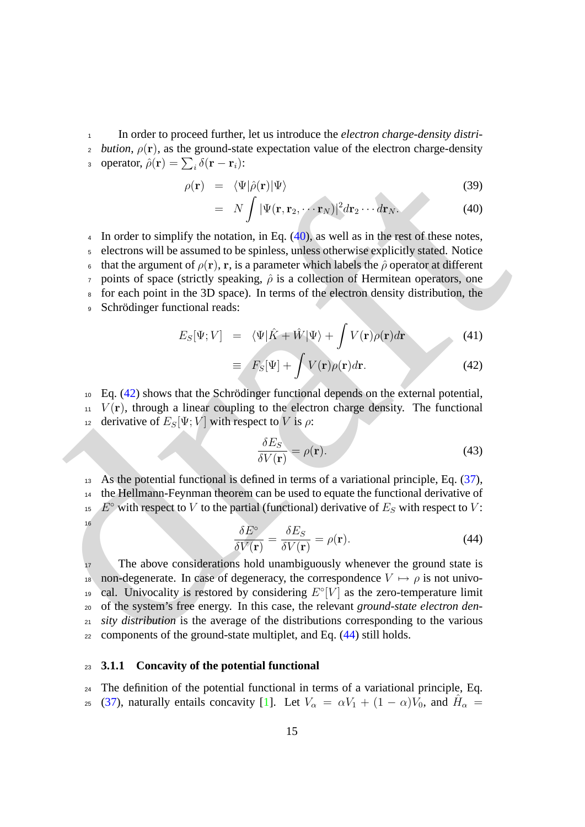<sup>1</sup> In order to proceed further, let us introduce the *electron charge-density distri-*2 *bution,*  $\rho(\mathbf{r})$ , as the ground-state expectation value of the electron charge-density 3 operator,  $\hat{\rho}(\mathbf{r}) = \sum_i \delta(\mathbf{r} - \mathbf{r}_i)$ :

<span id="page-14-1"></span>
$$
\rho(\mathbf{r}) = \langle \Psi | \hat{\rho}(\mathbf{r}) | \Psi \rangle \tag{39}
$$

$$
= N \int |\Psi(\mathbf{r}, \mathbf{r}_2, \cdots \mathbf{r}_N)|^2 d\mathbf{r}_2 \cdots d\mathbf{r}_N.
$$
 (40)

*a* operator,  $p(t) = -\frac{1}{2}\langle \Phi(t) | \Phi \rangle$  $p(t) = -\frac{1}{2}\langle \Phi(t) | \Phi \rangle$  $p(t) = -\frac{1}{2}\langle \Phi(t) | \Phi \rangle$  (39)<br>  $= N \int |\Psi(t, r_2, \dots r_g)|^2 d\mathbf{r}_2 \dots d\mathbf{r}_g.$  (40)<br>
4 In order to simplify the notation, in Eq. (44), as well as in the rest of these notes,<br> *c* electrons will be assumed to be spi 4 In order to simplify the notation, in Eq.  $(40)$ , as well as in the rest of these notes, <sup>5</sup> electrons will be assumed to be spinless, unless otherwise explicitly stated. Notice 6 that the argument of  $\rho(\mathbf{r})$ , r, is a parameter which labels the  $\hat{\rho}$  operator at different  $\tau$  points of space (strictly speaking,  $\hat{\rho}$  is a collection of Hermitean operators, one <sup>8</sup> for each point in the 3D space). In terms of the electron density distribution, the 9 Schrödinger functional reads:

<span id="page-14-2"></span>
$$
E_S[\Psi; V] = \langle \Psi | \hat{K} + \hat{W} | \Psi \rangle + \int V(\mathbf{r}) \rho(\mathbf{r}) d\mathbf{r}
$$
 (41)

$$
\equiv F_S[\Psi] + \int V(\mathbf{r}) \rho(\mathbf{r}) d\mathbf{r}.\tag{42}
$$

 $10$  Eq. (42) shows that the Schrödinger functional depends on the external potential,  $11$   $V(\mathbf{r})$ , through a linear coupling to the electron charge density. The functional 12 derivative of  $E_S[\Psi; V]$  with respect to V is  $\rho$ :

$$
\frac{\delta E_S}{\delta V(\mathbf{r})} = \rho(\mathbf{r}).\tag{43}
$$

<span id="page-14-3"></span><sup>13</sup> As the potential functional is defined in terms of a variational principle, Eq. (37), <sup>14</sup> the Hellmann-Feynman theorem can be used to equate the functional derivative of <sup>15</sup> E<sup>o</sup> with respect to V to the partial (functional) derivative of  $E<sub>S</sub>$  with respect to V: 16

$$
\frac{\delta E^{\circ}}{\delta V(\mathbf{r})} = \frac{\delta E_S}{\delta V(\mathbf{r})} = \rho(\mathbf{r}).\tag{44}
$$

<sup>17</sup> The above considerations hold unambiguously whenever the ground state is 18 non-degenerate. In case of degeneracy, the correspondence  $V \mapsto \rho$  is not univo-<sup>19</sup> cal. Univocality is restored by considering  $E^{\circ}[V]$  as the zero-temperature limit <sup>20</sup> of the system's free energy. In this case, the relevant *ground-state electron den-*<sup>21</sup> *sity distribution* is the average of the distributions corresponding to the various <sup>22</sup> components of the ground-state multiplet, and Eq. (44) still holds.

### <span id="page-14-0"></span><sup>23</sup> **3.1.1 Concavity of the potential functional**

<sup>24</sup> The definition of the potential functional in terms of a variational principle, Eq. 25 [\(37\)](#page-13-4), naturally entails concavity [\[1\]](#page-28-0). Let  $V_\alpha = \alpha V_1 + (1 - \alpha)V_0$ , and  $H_\alpha =$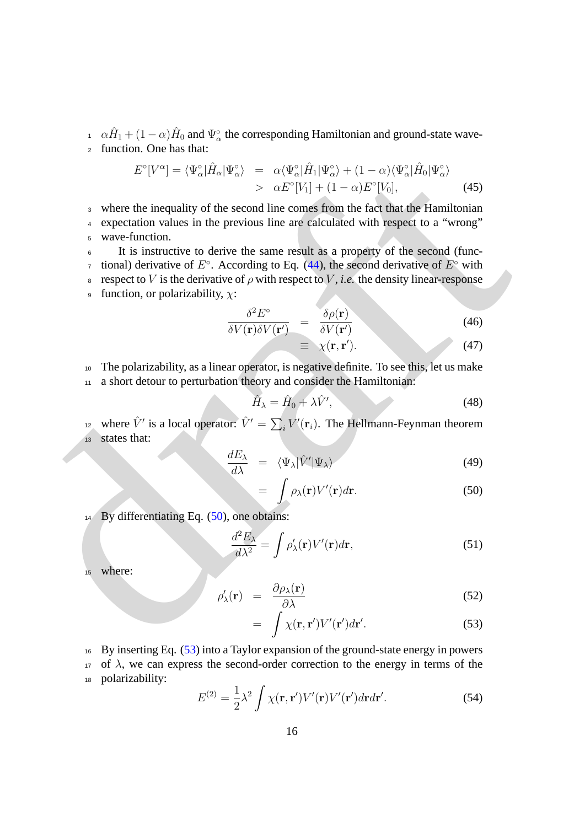$A \alpha \hat{H}_1 + (1 - \alpha) \hat{H}_0$  and  $\Psi_{\alpha}^{\circ}$  the corresponding Hamiltonian and ground-state wave-<sup>2</sup> function. One has that:

$$
E^{\circ}[V^{\alpha}] = \langle \Psi_{\alpha}^{\circ} | \hat{H}_{\alpha} | \Psi_{\alpha}^{\circ} \rangle = \alpha \langle \Psi_{\alpha}^{\circ} | \hat{H}_{1} | \Psi_{\alpha}^{\circ} \rangle + (1 - \alpha) \langle \Psi_{\alpha}^{\circ} | \hat{H}_{0} | \Psi_{\alpha}^{\circ} \rangle
$$
  
>  $\alpha E^{\circ}[V_{1}] + (1 - \alpha) E^{\circ}[V_{0}],$  (45)

<sup>3</sup> where the inequality of the second line comes from the fact that the Hamiltonian

- <sup>4</sup> expectation values in the previous line are calculated with respect to a "wrong" <sup>5</sup> wave-function.
- $E'[V^{\alpha}] = \langle \Psi_{\alpha}^{\circ}|H_{\alpha}|\Psi_{\alpha}^{\circ}\rangle = \alpha \langle \Psi_{\alpha}^{\circ}|H_{1}|\Phi_{\alpha}^{\circ}\rangle + (1-\alpha) \langle \Psi_{\alpha}^{\circ}|H_{0}|\Psi_{\alpha}^{\circ}\rangle$ <br>  $\times$  where the inequality o[f](#page-14-3) the second line comes from the fact that the Hamiltonian<br>  $\alpha$  expectation values in the <sup>6</sup> It is instructive to derive the same result as a property of the second (func*r* tional) derivative of  $E^{\circ}$ . According to Eq. (44), the second derivative of  $E^{\circ}$  with 8 respect to *V* is the derivative of  $ρ$  with respect to *V*, *i.e.* the density linear-response
	- <sup>9</sup> function, or polarizability,  $χ$ :

$$
\frac{\delta^2 E^{\circ}}{\delta V(\mathbf{r}) \delta V(\mathbf{r}')} = \frac{\delta \rho(\mathbf{r})}{\delta V(\mathbf{r}')} \tag{46}
$$

$$
\equiv \chi(\mathbf{r}, \mathbf{r}'). \tag{47}
$$

<sup>10</sup> The polarizability, as a linear operator, is negative definite. To see this, let us make <sup>11</sup> a short detour to perturbation theory and consider the Hamiltonian:

$$
\hat{H}_{\lambda} = \hat{H}_0 + \lambda \hat{V}',\tag{48}
$$

<sup>12</sup> where  $\hat{V}'$  is a local operator:  $\hat{V}' = \sum_i V'(\mathbf{r}_i)$ . The Hellmann-Feynman theorem <sup>13</sup> states that:

<span id="page-15-0"></span>
$$
\frac{dE_{\lambda}}{d\lambda} = \langle \Psi_{\lambda} | \hat{V}' | \Psi_{\lambda} \rangle \tag{49}
$$

$$
= \int \rho_{\lambda}(\mathbf{r}) V'(\mathbf{r}) d\mathbf{r}.
$$
 (50)

14 By differentiating Eq. (50), one obtains:

$$
\frac{d^2 E_\lambda}{d\lambda^2} = \int \rho_\lambda'(\mathbf{r}) V'(\mathbf{r}) d\mathbf{r},\tag{51}
$$

<sup>15</sup> where:

<span id="page-15-1"></span>
$$
\rho'_{\lambda}(\mathbf{r}) = \frac{\partial \rho_{\lambda}(\mathbf{r})}{\partial \lambda} \tag{52}
$$

$$
= \int \chi(\mathbf{r}, \mathbf{r}') V'(\mathbf{r}') d\mathbf{r}'. \tag{53}
$$

<sup>16</sup> By inserting Eq. [\(53\)](#page-15-1) into a Taylor expansion of the ground-state energy in powers 17 of  $\lambda$ , we can express the second-order correction to the energy in terms of the <sup>18</sup> polarizability:

<span id="page-15-2"></span>
$$
E^{(2)} = \frac{1}{2}\lambda^2 \int \chi(\mathbf{r}, \mathbf{r}')V'(\mathbf{r})V'(\mathbf{r}')d\mathbf{r}d\mathbf{r}'. \tag{54}
$$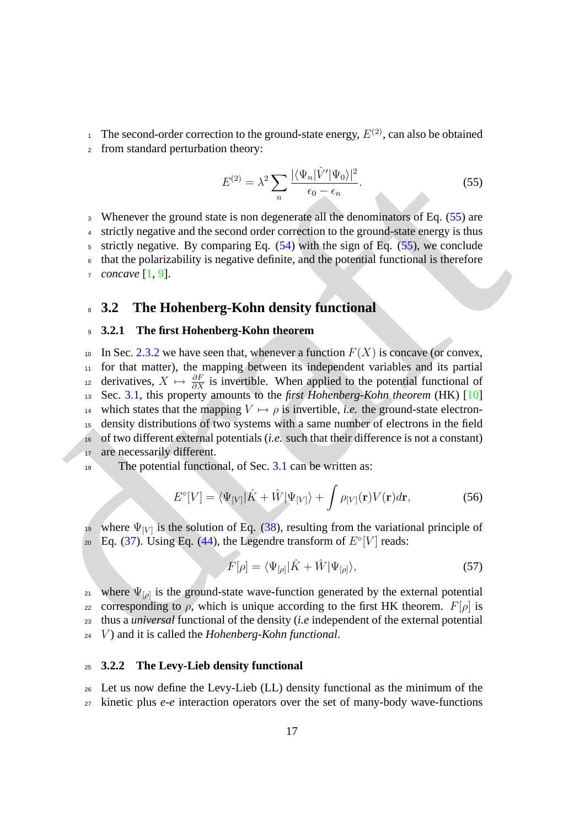<sup>1</sup> The second-order correction to the ground-state energy,  $E^{(2)}$ , can also be obtained

<sup>2</sup> from standard perturbation theory:

<span id="page-16-3"></span>
$$
E^{(2)} = \lambda^2 \sum_{n} \frac{|\langle \Psi_n | \hat{V}' | \Psi_0 \rangle|^2}{\epsilon_0 - \epsilon_n}.
$$
\n(55)

 Whenever the ground state is non degenerate all the denominators of Eq. (55) are strictly negative and the second order correction to the ground-state energy is thus 5 strictly negative. By comparing Eq.  $(54)$  with the sign of Eq.  $(55)$ , we conclude that the polarizability is negative definite, and the potential functional is therefore *concave* [1, 9].

### <span id="page-16-0"></span><sup>8</sup> **3.2 The Hohenberg-Kohn density functional**

#### <span id="page-16-1"></span><sup>9</sup> **3.2.1 The first Hohenberg-Kohn theorem**

 $F_0^{(2)} = \lambda^2 \sum_{\alpha} {\frac{|\langle\Psi_{\alpha}|V^2|\Psi_{0}\rangle|^2}{\phi}}.$  $F_0^{(2)} = \lambda^2 \sum_{\alpha} {\frac{|\langle\Psi_{\alpha}|V^2|\Psi_{0}\rangle|^2}{\phi}}.$  $F_0^{(2)} = \lambda^2 \sum_{\alpha} {\frac{|\langle\Psi_{\alpha}|V^2|\Psi_{0}\rangle|^2}{\phi}}.$  $F_0^{(2)} = \lambda^2 \sum_{\alpha} {\frac{|\langle\Psi_{\alpha}|V^2|\Psi_{0}\rangle|^2}{\phi}}.$  $F_0^{(2)} = \lambda^2 \sum_{\alpha} {\frac{|\langle\Psi_{\alpha}|V^2|\Psi_{0}\rangle|^2}{\phi}}.$  (55)<br>
3 Whenever the ground state is non degenerate all the elementrators of Eq. (55) are<br>
4 strictly negative and the second order correction to the ground-state energy is 10 In Sec. 2.3.2 we have seen that, whenever a function  $F(X)$  is concave (or convex, <sup>11</sup> for that matter), the mapping between its independent variables and its partial  $\alpha_{12}$  derivatives,  $X \mapsto \frac{\partial F}{\partial X}$  is invertible. When applied to the potential functional of <sup>13</sup> Sec. 3.1, this property amounts to the *first Hohenberg-Kohn theorem* (HK) [10] 14 which states that the mapping  $V \mapsto \rho$  is invertible, *i.e.* the ground-state electron-<sup>15</sup> density distributions of two systems with a same number of electrons in the field <sup>16</sup> of two different external potentials (*i.e.* such that their difference is not a constant) 17 are necessarily different.

The potential functional, of Sec. 3.1 can be written as:

$$
E^{\circ}[V] = \langle \Psi_{[V]} | \hat{K} + \hat{W} | \Psi_{[V]} \rangle + \int \rho_{[V]}(\mathbf{r}) V(\mathbf{r}) d\mathbf{r}, \tag{56}
$$

<sup>19</sup> where  $\Psi_{[V]}$  is the solution of Eq. (38), resulting from the variational principle of  $E_2$  Eq. (37). Using Eq. (44), the Legendre transform of  $E^{\circ}[V]$  reads:

<span id="page-16-4"></span>
$$
F[\rho] = \langle \Psi_{[\rho]} | \hat{K} + \hat{W} | \Psi_{[\rho]} \rangle, \tag{57}
$$

21 where  $\Psi_{\lbrack\rho\rbrack}$  is the ground-state wave-function generated by the external potential 22 corresponding to ρ, which is unique according to the first HK theorem.  $F[\rho]$  is <sup>23</sup> thus a *universal* functional of the density (*i.e* independent of the external potential <sup>24</sup> V ) and it is called the *Hohenberg-Kohn functional*.

### <span id="page-16-2"></span><sup>25</sup> **3.2.2 The Levy-Lieb density functional**

<sup>26</sup> Let us now define the Levy-Lieb (LL) density functional as the minimum of the <sup>27</sup> kinetic plus *e-e* interaction operators over the set of many-body wave-functions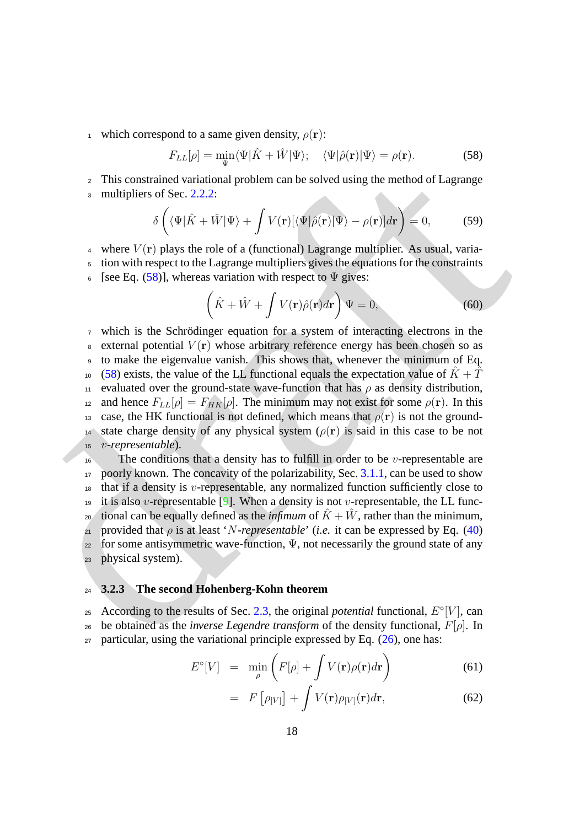<sup>1</sup> which correspond to a same given density,  $\rho(\mathbf{r})$ :

<span id="page-17-1"></span>
$$
F_{LL}[\rho] = \min_{\Psi} \langle \Psi | \hat{K} + \hat{W} | \Psi \rangle; \quad \langle \Psi | \hat{\rho}(\mathbf{r}) | \Psi \rangle = \rho(\mathbf{r}). \tag{58}
$$

<sup>2</sup> This constrained variational problem can be solved using the method of Lagrange

3 multipliers of Sec. 2.2.2:

$$
\delta\left(\langle\Psi|\hat{K}+\hat{W}|\Psi\rangle+\int V(\mathbf{r})[\langle\Psi|\hat{\rho}(\mathbf{r})|\Psi\rangle-\rho(\mathbf{r})]d\mathbf{r}\right)=0,
$$
\n(59)

4 where  $V(\mathbf{r})$  plays the role of a (functional) Lagrange multiplier. As usual, varia-

<sup>5</sup> tion with respect to the Lagrange multipliers gives the equations for the constraints

6 [see Eq. (58)], whereas variation with respect to  $\Psi$  gives:

$$
\left(\hat{K} + \hat{W} + \int V(\mathbf{r})\hat{\rho}(\mathbf{r})d\mathbf{r}\right)\Psi = 0,
$$
\n(60)

7 This constr[a](#page-14-0)ined variational problem can be solved using the method of Lagrange<br>
a multipliers of Sec. 2.2.2:<br>  $\oint (\langle \Psi | \vec{K} + i\hat{V} | \Psi \rangle + \int V(\mathbf{r}) \langle \Psi | \partial(\mathbf{r}) | \Psi \rangle - \rho(\mathbf{r})] d\mathbf{r}) = 0$ , (59)<br>
4 where  $V(\mathbf{r})$  plays t  $\sigma$  which is the Schrödinger equation for a system of interacting electrons in the  $\frac{1}{8}$  external potential  $V(\bf{r})$  whose arbitrary reference energy has been chosen so as <sup>9</sup> to make the eigenvalue vanish. This shows that, whenever the minimum of Eq. <sup>10</sup> (58) exists, the value of the LL functional equals the expectation value of  $\hat{K} + \hat{T}$ 11 evaluated over the ground-state wave-function that has  $\rho$  as density distribution, 12 and hence  $F_{LL}[\rho] = F_{HK}[\rho]$ . The minimum may not exist for some  $\rho(\mathbf{r})$ . In this 13 case, the HK functional is not defined, which means that  $\rho(\mathbf{r})$  is not the ground-14 state charge density of any physical system  $(\rho(\mathbf{r}))$  is said in this case to be not <sup>15</sup> v*-representable*).

<sup>16</sup> The conditions that a density has to fulfill in order to be *v*-representable are 17 poorly known. The concavity of the polarizability, Sec. 3.1.1, can be used to show  $18$  that if a density is *v*-representable, any normalized function sufficiently close to 19 it is also v-representable [9]. When a density is not v-representable, the LL func-<sup>20</sup> tional can be equally defined as the *infimum* of  $\hat{K} + \hat{W}$ , rather than the minimum, <sup>21</sup> provided that *ρ* is at least '*N*-representable' (*i.e.* it can be expressed by Eq. (40)  $22$  for some antisymmetric wave-function,  $\Psi$ , not necessarily the ground state of any <sup>23</sup> physical system).

### <span id="page-17-0"></span><sup>24</sup> **3.2.3 The second Hohenberg-Kohn theorem**

25 According to the results of Sec. 2.3, the original *potential* functional,  $E^{\circ}[V]$ , can 26 be obtained as the *inverse Legendre transform* of the density functional,  $F[\rho]$ . In  $27$  particular, using the variational principle expressed by Eq. (26), one has:

<span id="page-17-2"></span>
$$
E^{\circ}[V] = \min_{\rho} \left( F[\rho] + \int V(\mathbf{r}) \rho(\mathbf{r}) d\mathbf{r} \right) \tag{61}
$$

$$
= F\left[\rho_{[V]}\right] + \int V(\mathbf{r})\rho_{[V]}(\mathbf{r})d\mathbf{r},\tag{62}
$$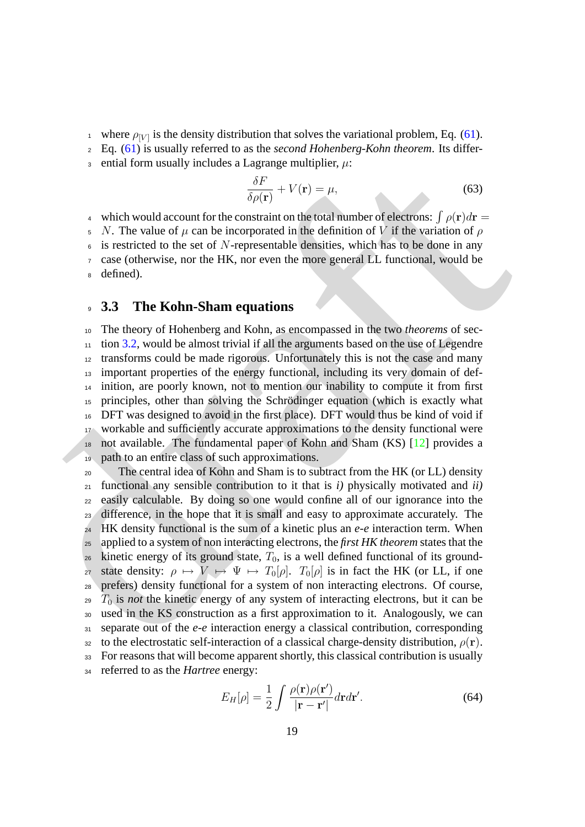<sup>1</sup> where  $\rho_{[V]}$  is the density distribution that solves the variational problem, Eq. [\(61\)](#page-17-2).

<sup>2</sup> Eq. [\(61\)](#page-17-2) is usually referred to as the *second Hohenberg-Kohn theorem*. Its differ-

3 ential form usually includes a Lagrange multiplier,  $\mu$ :

<span id="page-18-1"></span>
$$
\frac{\delta F}{\delta \rho(\mathbf{r})} + V(\mathbf{r}) = \mu,\tag{63}
$$

4 which would account for the constraint on the total number of electrons:  $\int \rho(\mathbf{r})d\mathbf{r} =$ 

5 N. The value of  $\mu$  can be incorporated in the definition of V if the variation of  $\rho$  $6\text{ is restricted to the set of }N\text{-representable densities, which has to be done in any$ 

<sup>7</sup> case (otherwise, nor the HK, nor even the more general LL functional, would be

<sup>8</sup> defined).

### <span id="page-18-0"></span><sup>9</sup> **3.3 The Kohn-Sham equations**

 The theory of Hohenberg and Kohn, as encompassed in the two *theorems* of sec- tion 3.2, would be almost trivial if all the arguments based on the use of Legendre transforms could be made rigorous. Unfortunately this is not the case and many important properties of the energy functional, including its very domain of def- inition, are poorly known, not to mention our inability to compute it from first principles, other than solving the Schrodinger equation (which is exactly what ¨ DFT was designed to avoid in the first place). DFT would thus be kind of void if workable and sufficiently accurate approximations to the density functional were not available. The fundamental paper of Kohn and Sham (KS) [12] provides a path to an entire class of such approximations.

or contain only us and for the constraint on the plane interpretations  $\int_C f(x) dx = \frac{1}{2} \int_C f(x) dx$ <br>  $\int_C f(x) dx = \frac{1}{2} \int_C f(x) dx$ <br>  $\int_C f(x) dx = \frac{1}{2} \int_C f(x) dx$ <br>  $\int_C f(x) dx$  are the constraint on the definition of  $V$  if the variation o <sup>20</sup> The central idea of Kohn and Sham is to subtract from the HK (or LL) density functional any sensible contribution to it that is *i)* physically motivated and *ii)* easily calculable. By doing so one would confine all of our ignorance into the difference, in the hope that it is small and easy to approximate accurately. The HK density functional is the sum of a kinetic plus an *e-e* interaction term. When applied to a system of non interacting electrons, the *first HK theorem* states that the kinetic energy of its ground state,  $T_0$ , is a well defined functional of its ground-27 state density:  $\rho \mapsto V \mapsto \Psi \mapsto T_0[\rho]$ .  $T_0[\rho]$  is in fact the HK (or LL, if one prefers) density functional for a system of non interacting electrons. Of course,  $_{29}$   $T_0$  is *not* the kinetic energy of any system of interacting electrons, but it can be used in the KS construction as a first approximation to it. Analogously, we can separate out of the *e-e* interaction energy a classical contribution, corresponding 32 to the electrostatic self-interaction of a classical charge-density distribution,  $\rho(\mathbf{r})$ . For reasons that will become apparent shortly, this classical contribution is usually referred to as the *Hartree* energy:

<span id="page-18-2"></span>
$$
E_H[\rho] = \frac{1}{2} \int \frac{\rho(\mathbf{r})\rho(\mathbf{r}')}{|\mathbf{r} - \mathbf{r}'|} d\mathbf{r} d\mathbf{r}'. \tag{64}
$$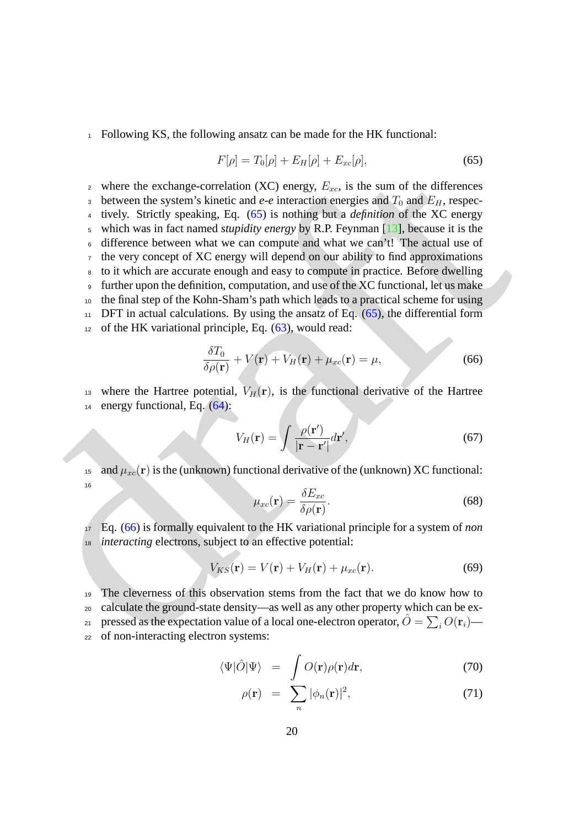<sup>1</sup> Following KS, the following ansatz can be made for the HK functional:

<span id="page-19-0"></span>
$$
F[\rho] = T_0[\rho] + E_H[\rho] + E_{xc}[\rho],\tag{65}
$$

*z* whe[r](#page-18-2)e the exchange-correlation (XC) energy, *b*<sub>20</sub>, is the sum of the [d](#page-19-1)ifferences<br>
between the system's kinetic and  $\alpha e$  interaction energies and  $T_{\alpha}$ , respectively. Strictly speaking, Eq. (65) is nothing but a 2 where the exchange-correlation (XC) energy,  $E_{xc}$ , is the sum of the differences <sup>3</sup> between the system's kinetic and  $e$ - $e$  interaction energies and  $T_0$  and  $E_H$ , respec- tively. Strictly speaking, Eq. (65) is nothing but a *definition* of the XC energy which was in fact named *stupidity energy* by R.P. Feynman [13], because it is the difference between what we can compute and what we can't! The actual use of the very concept of XC energy will depend on our ability to find approximations to it which are accurate enough and easy to compute in practice. Before dwelling further upon the definition, computation, and use of the XC functional, let us make the final step of the Kohn-Sham's path which leads to a practical scheme for using DFT in actual calculations. By using the ansatz of Eq. (65), the differential form of the HK variational principle, Eq.  $(63)$ , would read:

<span id="page-19-1"></span>
$$
\frac{\delta T_0}{\delta \rho(\mathbf{r})} + V(\mathbf{r}) + V_H(\mathbf{r}) + \mu_{xc}(\mathbf{r}) = \mu,
$$
\n(66)

<sup>13</sup> where the Hartree potential,  $V_H(\mathbf{r})$ , is the functional derivative of the Hartree <sup>14</sup> energy functional, Eq. (64):

$$
V_H(\mathbf{r}) = \int \frac{\rho(\mathbf{r}')}{|\mathbf{r} - \mathbf{r}'|} d\mathbf{r}',\tag{67}
$$

<span id="page-19-4"></span><sup>15</sup> and  $\mu_{xc}(\mathbf{r})$  is the (unknown) functional derivative of the (unknown) XC functional: 16

<span id="page-19-3"></span>
$$
\mu_{xc}(\mathbf{r}) = \frac{\delta E_{xc}}{\delta \rho(\mathbf{r})}.
$$
\n(68)

<sup>17</sup> Eq. (66) is formally equivalent to the HK variational principle for a system of *non* <sup>18</sup> *interacting* electrons, subject to an effective potential:

$$
V_{KS}(\mathbf{r}) = V(\mathbf{r}) + V_H(\mathbf{r}) + \mu_{xc}(\mathbf{r}).
$$
\n(69)

 The cleverness of this observation stems from the fact that we do know how to calculate the ground-state density—as well as any other property which can be expressed as the expectation value of a local one-electron operator,  $\hat{O} = \sum_i O(\mathbf{r}_i)$ — of non-interacting electron systems:

<span id="page-19-2"></span>
$$
\langle \Psi | \hat{O} | \Psi \rangle = \int O(\mathbf{r}) \rho(\mathbf{r}) d\mathbf{r}, \qquad (70)
$$

$$
\rho(\mathbf{r}) = \sum_{n} |\phi_n(\mathbf{r})|^2, \tag{71}
$$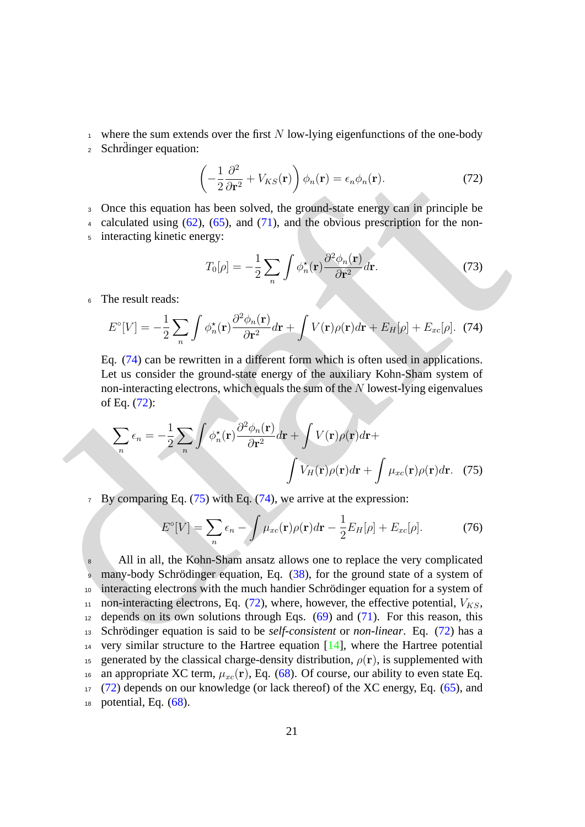- <sup>1</sup> where the sum extends over the first N low-lying eigenfunctions of the one-body
- 2 Schrdinger equation:

<span id="page-20-1"></span>
$$
\left(-\frac{1}{2}\frac{\partial^2}{\partial \mathbf{r}^2} + V_{KS}(\mathbf{r})\right)\phi_n(\mathbf{r}) = \epsilon_n \phi_n(\mathbf{r}).\tag{72}
$$

- <sup>3</sup> Once this equation has been solved, the ground-state energy can in principle be
- 4 calculated using  $(62)$ ,  $(65)$ , and  $(71)$ , and the obvious prescription for the non-<sup>5</sup> interacting kinetic energy:

<span id="page-20-0"></span>
$$
T_0[\rho] = -\frac{1}{2} \sum_n \int \phi_n^{\star}(\mathbf{r}) \frac{\partial^2 \phi_n(\mathbf{r})}{\partial \mathbf{r}^2} d\mathbf{r}.
$$
 (73)

<sup>6</sup> The result reads:

$$
E^{\circ}[V] = -\frac{1}{2} \sum_{n} \int \phi_{n}^{\star}(\mathbf{r}) \frac{\partial^{2} \phi_{n}(\mathbf{r})}{\partial \mathbf{r}^{2}} d\mathbf{r} + \int V(\mathbf{r}) \rho(\mathbf{r}) d\mathbf{r} + E_{H}[\rho] + E_{xc}[\rho]. \tag{74}
$$

Eq. (74) can be rewritten in a different form which is often used in applications. Let us consider the ground-state energy of the auxiliary Kohn-Sham system of non-interacting electrons, which equals the sum of the N lowest-lying eigenvalues of Eq. (72):

$$
\sum_{n} \epsilon_{n} = -\frac{1}{2} \sum_{n} \int \phi_{n}^{\star}(\mathbf{r}) \frac{\partial^{2} \phi_{n}(\mathbf{r})}{\partial \mathbf{r}^{2}} d\mathbf{r} + \int V(\mathbf{r}) \rho(\mathbf{r}) d\mathbf{r} + \int \mu_{xc}(\mathbf{r}) \rho(\mathbf{r}) d\mathbf{r}.
$$
 (75)

 $7\;\;$  By comparing Eq. (75) with Eq. (74), we arrive at the expression:

<span id="page-20-3"></span><span id="page-20-2"></span>
$$
E^{\circ}[V] = \sum_{n} \epsilon_n - \int \mu_{xc}(\mathbf{r}) \rho(\mathbf{r}) d\mathbf{r} - \frac{1}{2} E_H[\rho] + E_{xc}[\rho]. \tag{76}
$$

 $\left(-\frac{1}{2}\frac{\partial^2}{\partial r^2} + V_{KS}(\mathbf{r})\right) \phi_n(\mathbf{r}) = \epsilon_n \phi_n(\mathbf{r})$  $\left(-\frac{1}{2}\frac{\partial^2}{\partial r^2} + V_{KS}(\mathbf{r})\right) \phi_n(\mathbf{r}) = \epsilon_n \phi_n(\mathbf{r})$  $\left(-\frac{1}{2}\frac{\partial^2}{\partial r^2} + V_{KS}(\mathbf{r})\right) \phi_n(\mathbf{r}) = \epsilon_n \phi_n(\mathbf{r})$ . (72)<br>  $\therefore$  Once this equation has been solved, the ground-state energy can in principle be<br>  $\epsilon$  calculated using (62), (65), and (71), and the obvious prescr 8 All in all, the Kohn-Sham ansatz allows one to replace the very complicated 9 many-body Schrödinger equation, Eq.  $(38)$ , for the ground state of a system of  $10<sub>10</sub>$  interacting electrons with the much handier Schrödinger equation for a system of 11 non-interacting electrons, Eq.  $(72)$ , where, however, the effective potential,  $V_{KS}$ ,  $12$  depends on its own solutions through Eqs. (69) and (71). For this reason, this 13 Schrödinger equation is said to be *self-consistent* or *non-linear*. Eq. (72) has a <sup>14</sup> very similar structure to the Hartree equation [\[14\]](#page-29-6), where the Hartree potential 15 generated by the classical charge-density distribution,  $\rho(\mathbf{r})$ , is supplemented with <sup>16</sup> an appropriate XC term,  $\mu_{xc}(\mathbf{r})$ , Eq. [\(68\)](#page-19-4). Of course, our ability to even state Eq. <sup>17</sup> [\(72\)](#page-20-1) depends on our knowledge (or lack thereof) of the XC energy, Eq. [\(65\)](#page-19-0), and  $18$  potential, Eq.  $(68)$ .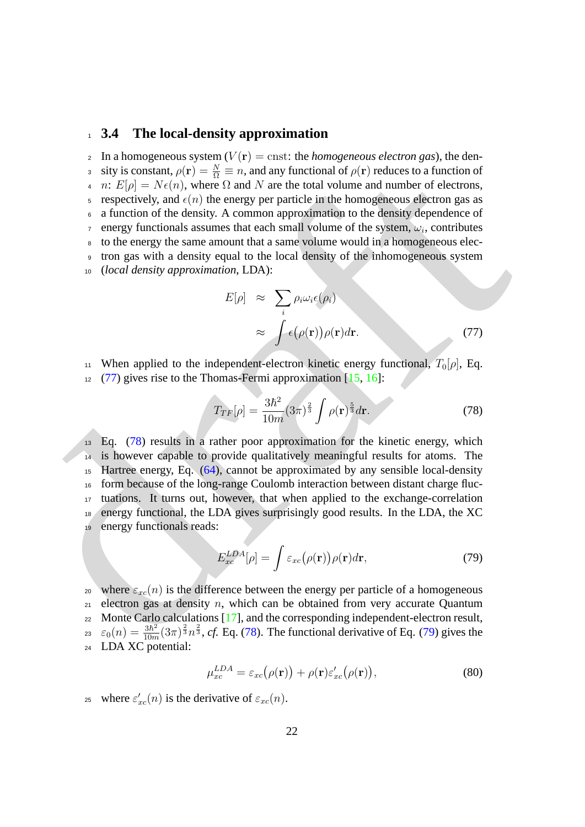### <span id="page-21-0"></span><sup>1</sup> **3.4 The local-density approximation**

s siy is constant,  $\rho(r) = \frac{5\pi}{10} = n$  $\rho(r) = \frac{5\pi}{10} = n$  $\rho(r) = \frac{5\pi}{10} = n$ , an[d](#page-21-2) any functional of  $\rho(r)$  reduces to a function of the density  $\lambda$ , where  $\Omega$  and  $N$  are the total volume and number of electrons,<br>
a respectively, and  $\kappa/\mu$  the energy per 2 In a homogeneous system  $(V(\mathbf{r}) = \text{cnst: the }homogeneous \text{ electron } gas)$ , the dens sity is constant,  $\rho(\mathbf{r}) = \frac{N}{\Omega} \equiv n$ , and any functional of  $\rho(\mathbf{r})$  reduces to a function of 4 n:  $E[\rho] = N\epsilon(n)$ , where  $\Omega$  and N are the total volume and number of electrons, 5 respectively, and  $\epsilon(n)$  the energy per particle in the homogeneous electron gas as <sup>6</sup> a function of the density. A common approximation to the density dependence of  $\tau$  energy functionals assumes that each small volume of the system,  $\omega_i$ , contributes <sup>8</sup> to the energy the same amount that a same volume would in a homogeneous elec-<sup>9</sup> tron gas with a density equal to the local density of the inhomogeneous system <sup>10</sup> (*local density approximation*, LDA):

<span id="page-21-1"></span>
$$
E[\rho] \approx \sum_{i} \rho_{i} \omega_{i} \epsilon(\rho_{i})
$$
  
 
$$
\approx \int \epsilon(\rho(\mathbf{r})) \rho(\mathbf{r}) d\mathbf{r}.
$$
 (77)

11 When applied to the independent-electron kinetic energy functional,  $T_0[\rho]$ , Eq.

 $12 \quad (77)$  gives rise to the Thomas-Fermi approximation [15, 16]:

<span id="page-21-2"></span>
$$
T_{TF}[\rho] = \frac{3\hbar^2}{10m} (3\pi)^{\frac{2}{3}} \int \rho(\mathbf{r})^{\frac{5}{3}} d\mathbf{r}.
$$
 (78)

<sup>13</sup> Eq. (78) results in a rather poor approximation for the kinetic energy, which is however capable to provide qualitatively meaningful results for atoms. The Hartree energy, Eq. (64), cannot be approximated by any sensible local-density form because of the long-range Coulomb interaction between distant charge fluc- tuations. It turns out, however, that when applied to the exchange-correlation energy functional, the LDA gives surprisingly good results. In the LDA, the XC energy functionals reads:

<span id="page-21-3"></span>
$$
E_{xc}^{LDA}[\rho] = \int \varepsilon_{xc}(\rho(\mathbf{r})) \rho(\mathbf{r}) d\mathbf{r},\tag{79}
$$

20 where  $\varepsilon_{xc}(n)$  is the difference between the energy per particle of a homogeneous  $21$  electron gas at density n, which can be obtained from very accurate Quantum  $22$  Monte Carlo calculations [17], and the corresponding independent-electron result,  $\varepsilon_0(n) = \frac{3\hbar^2}{10n}$  $\epsilon_0(n) = \frac{3\hbar^2}{10m}(3\pi)^{\frac{2}{3}}n^{\frac{2}{3}}$ , *cf.* Eq. (78). The functional derivative of Eq. (79) gives the <sup>24</sup> LDA XC potential:

$$
\mu_{xc}^{LDA} = \varepsilon_{xc}(\rho(\mathbf{r})) + \rho(\mathbf{r})\varepsilon_{xc}'(\rho(\mathbf{r})),\tag{80}
$$

25 where  $\varepsilon'_{xc}(n)$  is the derivative of  $\varepsilon_{xc}(n)$ .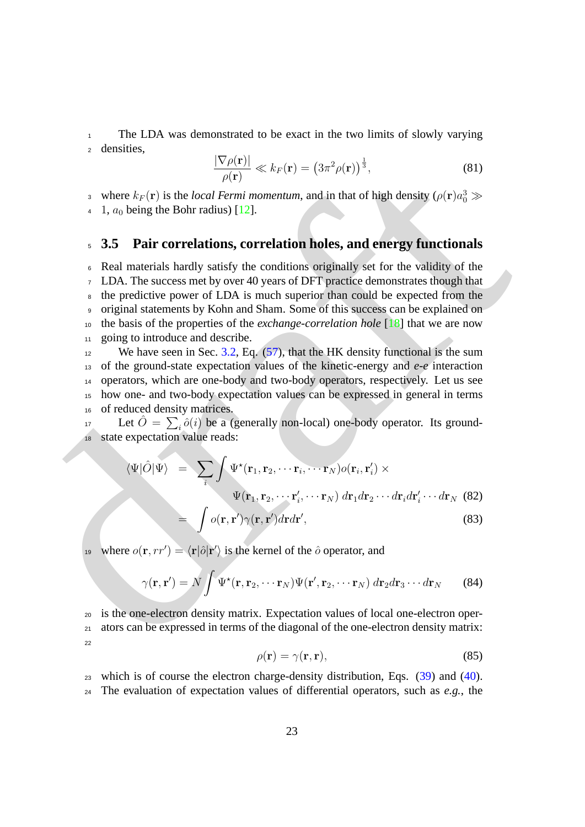<span id="page-22-1"></span><sup>1</sup> The LDA was demonstrated to be exact in the two limits of slowly varying <sup>2</sup> densities,

$$
\frac{|\nabla \rho(\mathbf{r})|}{\rho(\mathbf{r})} \ll k_F(\mathbf{r}) = \left(3\pi^2 \rho(\mathbf{r})\right)^{\frac{1}{3}},\tag{81}
$$

<sup>3</sup> where  $k_F(\mathbf{r})$  is the *local Fermi momentum*, and in that of high density ( $\rho(\mathbf{r})a_0^3 \gg$ 

4 1,  $a_0$  being the Bohr radius) [12].

### <span id="page-22-0"></span><sup>5</sup> **3.5 Pair correlations, correlation holes, and energy functionals**

where  $k_F(\mathbf{r})$  $k_F(\mathbf{r})$  $k_F(\mathbf{r})$  is the *local Femini momentum*, and in that of high density  $\rho(\mathbf{r})$  is where  $k_F(\mathbf{r})$  is the *local Femini momentum*, and in that of high density  $\rho(\mathbf{r})a_0^2 \gg$ <br>
4 1,  $a_0$  being the Bohr cradinal Real materials hardly satisfy the conditions originally set for the validity of the LDA. The success met by over 40 years of DFT practice demonstrates though that the predictive power of LDA is much superior than could be expected from the original statements by Kohn and Sham. Some of this success can be explained on the basis of the properties of the *exchange-correlation hole* [18] that we are now 11 going to introduce and describe.

<sup>12</sup> We have seen in Sec. 3.2, Eq.  $(57)$ , that the HK density functional is the sum of the ground-state expectation values of the kinetic-energy and *e-e* interaction operators, which are one-body and two-body operators, respectively. Let us see how one- and two-body expectation values can be expressed in general in terms of reduced density matrices.

17 Let  $\hat{O} = \sum_{i} \hat{o}(i)$  be a (generally non-local) one-body operator. Its ground-<sup>18</sup> state expectation value reads:

$$
\langle \Psi | \hat{O} | \Psi \rangle = \sum_{i} \int \Psi^{\star}(\mathbf{r}_{1}, \mathbf{r}_{2}, \cdots \mathbf{r}_{i}, \cdots \mathbf{r}_{N}) o(\mathbf{r}_{i}, \mathbf{r}'_{i}) \times \n\Psi(\mathbf{r}_{1}, \mathbf{r}_{2}, \cdots \mathbf{r}'_{i}, \cdots \mathbf{r}_{N}) d\mathbf{r}_{1} d\mathbf{r}_{2} \cdots d\mathbf{r}_{i} d\mathbf{r}'_{i} \cdots d\mathbf{r}_{N}
$$
\n(82)\n
$$
= \int o(\mathbf{r}, \mathbf{r}') \gamma(\mathbf{r}, \mathbf{r}') d\mathbf{r} d\mathbf{r}',
$$
\n(83)

<sup>19</sup> where  $o(\mathbf{r}, rr') = \langle \mathbf{r} | \hat{o} | \mathbf{r}' \rangle$  is the kernel of the  $\hat{o}$  operator, and

$$
\gamma(\mathbf{r}, \mathbf{r}') = N \int \Psi^{\star}(\mathbf{r}, \mathbf{r}_2, \cdots \mathbf{r}_N) \Psi(\mathbf{r}', \mathbf{r}_2, \cdots \mathbf{r}_N) d\mathbf{r}_2 d\mathbf{r}_3 \cdots d\mathbf{r}_N
$$
 (84)

<sup>20</sup> is the one-electron density matrix. Expectation values of local one-electron oper-<sup>21</sup> ators can be expressed in terms of the diagonal of the one-electron density matrix:  $22$ 

<span id="page-22-2"></span>
$$
\rho(\mathbf{r}) = \gamma(\mathbf{r}, \mathbf{r}),\tag{85}
$$

<sup>23</sup> which is of course the electron charge-density distribution, Eqs. [\(39\)](#page-14-1) and [\(40\)](#page-14-1). <sup>24</sup> The evaluation of expectation values of differential operators, such as *e.g.*, the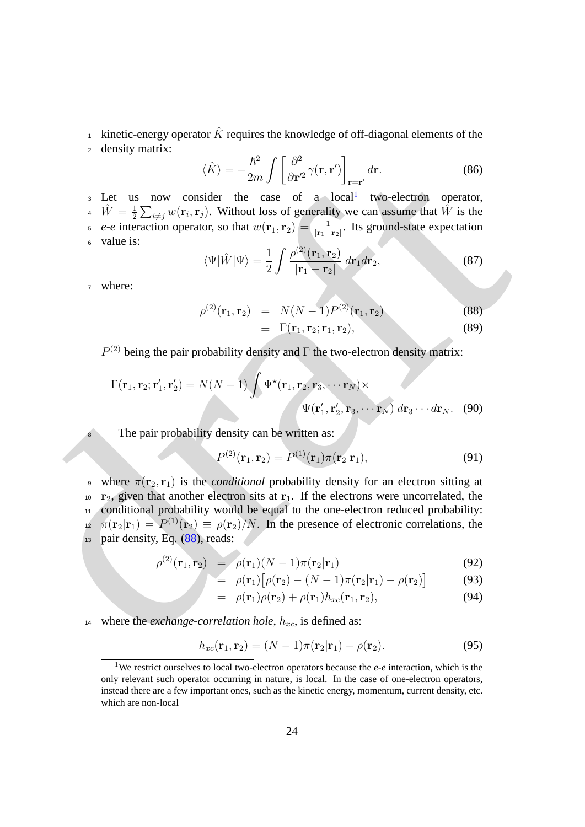kinetic-energy operator  $\hat{K}$  requires the knowledge of off-diagonal elements of the <sup>2</sup> density matrix:

$$
\langle \hat{K} \rangle = -\frac{\hbar^2}{2m} \int \left[ \frac{\partial^2}{\partial \mathbf{r}'^2} \gamma(\mathbf{r}, \mathbf{r}') \right]_{\mathbf{r} = \mathbf{r}'} d\mathbf{r}.
$$
 (86)

<sup>3</sup> Let us now consider the case of a local<sup>1</sup> two-electron operator,  $\hat{W} = \frac{1}{2}$ <sup>4</sup>  $\hat{W} = \frac{1}{2} \sum_{i \neq j} w(\mathbf{r}_i, \mathbf{r}_j)$ . Without loss of generality we can assume that  $\hat{W}$  is the  $e$ -*e* interaction operator, so that  $w(\mathbf{r}_1, \mathbf{r}_2) = \frac{1}{|\mathbf{r}_1 - \mathbf{r}_2|}$ . Its ground-state expectation <sup>6</sup> value is:

$$
\langle \Psi | \hat{W} | \Psi \rangle = \frac{1}{2} \int \frac{\rho^{(2)}(\mathbf{r}_1, \mathbf{r}_2)}{|\mathbf{r}_1 - \mathbf{r}_2|} d\mathbf{r}_1 d\mathbf{r}_2, \tag{87}
$$

<sup>7</sup> where:

<span id="page-23-1"></span>
$$
\rho^{(2)}(\mathbf{r}_1, \mathbf{r}_2) = N(N-1)P^{(2)}(\mathbf{r}_1, \mathbf{r}_2)
$$
\n(88)

$$
\equiv \Gamma(\mathbf{r}_1, \mathbf{r}_2; \mathbf{r}_1, \mathbf{r}_2), \tag{89}
$$

 $P^{(2)}$  being the pair probability density and  $\Gamma$  the two-electron density matrix:

$$
\Gamma(\mathbf{r}_1, \mathbf{r}_2; \mathbf{r}'_1, \mathbf{r}'_2) = N(N-1) \int \Psi^{\star}(\mathbf{r}_1, \mathbf{r}_2, \mathbf{r}_3, \cdots \mathbf{r}_N) \times
$$
  

$$
\Psi(\mathbf{r}'_1, \mathbf{r}'_2, \mathbf{r}_3, \cdots \mathbf{r}_N) d\mathbf{r}_3 \cdots d\mathbf{r}_N.
$$
 (90)

8 The pair probability density can be written as:

$$
P^{(2)}(\mathbf{r}_1, \mathbf{r}_2) = P^{(1)}(\mathbf{r}_1)\pi(\mathbf{r}_2|\mathbf{r}_1),
$$
\n(91)

(K) =  $-\frac{1}{2n}$   $\int_{0}^{1} \frac{1}{(n+2)} (2n+1)^2 \int_{x-x}^{x} dx$  (86)<br>
1 Let us now consider the case of a local invo-selectron operator,<br>
4  $W = \frac{1}{2} \sum_{i \neq j} w(r_i, r_i)$ . Without loss of generality we can assume that  $W$  is the<br>
e <sup>9</sup> where  $\pi(\mathbf{r}_2, \mathbf{r}_1)$  is the *conditional* probability density for an electron sitting at  $10 \text{ r}_2$ , given that another electron sits at  $r_1$ . If the electrons were uncorrelated, the <sup>11</sup> conditional probability would be equal to the one-electron reduced probability:  $\pi(\mathbf{r}_2|\mathbf{r}_1) = P^{(1)}(\mathbf{r}_2) \equiv \rho(\mathbf{r}_2)/N$ . In the presence of electronic correlations, the  $13$  pair density, Eq.  $(88)$ , reads:

<span id="page-23-2"></span>
$$
\rho^{(2)}(\mathbf{r}_1, \mathbf{r}_2) = \rho(\mathbf{r}_1)(N-1)\pi(\mathbf{r}_2|\mathbf{r}_1) \tag{92}
$$

$$
= \rho(\mathbf{r}_1) [\rho(\mathbf{r}_2) - (N-1)\pi(\mathbf{r}_2|\mathbf{r}_1) - \rho(\mathbf{r}_2)] \tag{93}
$$

$$
= \rho(\mathbf{r}_1)\rho(\mathbf{r}_2) + \rho(\mathbf{r}_1)h_{xc}(\mathbf{r}_1, \mathbf{r}_2), \qquad (94)
$$

14 where the *exchange-correlation hole*,  $h_{xc}$ , is defined as:

$$
h_{xc}(\mathbf{r}_1, \mathbf{r}_2) = (N-1)\pi(\mathbf{r}_2|\mathbf{r}_1) - \rho(\mathbf{r}_2). \tag{95}
$$

<span id="page-23-0"></span><sup>1</sup>We restrict ourselves to local two-electron operators because the *e-e* interaction, which is the only relevant such operator occurring in nature, is local. In the case of one-electron operators, instead there are a few important ones, such as the kinetic energy, momentum, current density, etc. which are non-local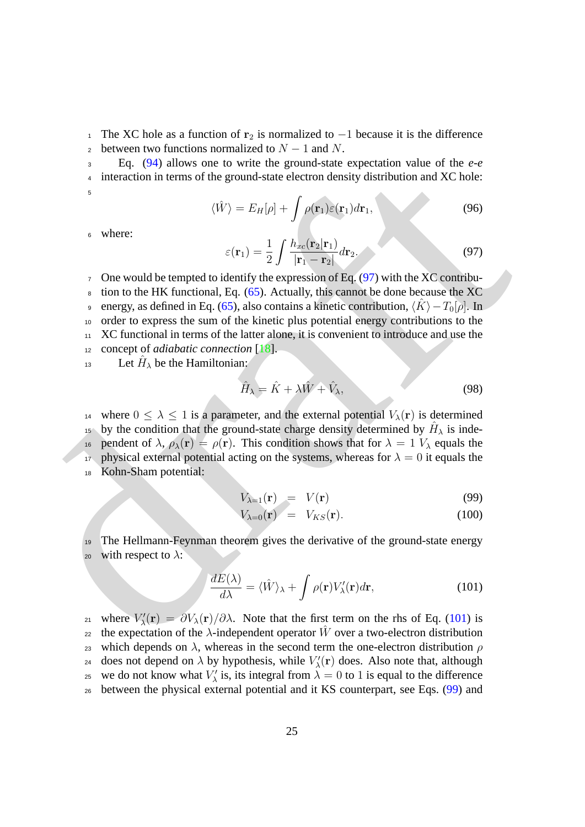1 The XC hole as a function of  $r_2$  is normalized to −1 because it is the difference 2 between two functions normalized to  $N - 1$  and N.

<span id="page-24-3"></span><sup>3</sup> Eq. [\(94\)](#page-23-2) allows one to write the ground-state expectation value of the *e-e* <sup>4</sup> interaction in terms of the ground-state electron density distribution and XC hole: 5

 $\langle \hat{W} \rangle = E_H[\rho] + \int \rho(\mathbf{r}_1)\varepsilon(\mathbf{r}_1)d\mathbf{r}_1,$  (96)

<span id="page-24-0"></span><sup>6</sup> where:

$$
\varepsilon(\mathbf{r}_1) = \frac{1}{2} \int \frac{h_{xc}(\mathbf{r}_2 | \mathbf{r}_1)}{|\mathbf{r}_1 - \mathbf{r}_2|} d\mathbf{r}_2.
$$
 (97)

[a](#page-29-10) interaction in terms of when the ground-state electron density distribution and XC bole:<br>  $\langle fV \rangle = E_H[\rho] + \int \rho(\mathbf{r}) \langle \mathbf{r}(\mathbf{r}) \rangle d\mathbf{r}$ , (96)<br>  $\epsilon$  where:<br>  $\epsilon(\mathbf{r}) = \frac{1}{2} \int \frac{h_{\alpha}(\mathbf{r}_2|\mathbf{r})}{|\mathbf{r}_1 - \mathbf{r}_2|} d\$  One would be tempted to identify the expression of Eq. (97) with the XC contribu- tion to the HK functional, Eq. (65). Actually, this cannot be done because the XC energy, as defined in Eq. (65), also contains a kinetic contribution,  $\langle K \rangle - T_0[\rho]$ . In order to express the sum of the kinetic plus potential energy contributions to the XC functional in terms of the latter alone, it is convenient to introduce and use the concept of *adiabatic connection* [18].

13 Let  $\hat{H}_{\lambda}$  be the Hamiltonian:

$$
\hat{H}_{\lambda} = \hat{K} + \lambda \hat{W} + \hat{V}_{\lambda},\tag{98}
$$

<sup>14</sup> where  $0 \leq \lambda \leq 1$  is a parameter, and the external potential  $V_{\lambda}(\mathbf{r})$  is determined <sup>15</sup> by the condition that the ground-state charge density determined by  $H_{\lambda}$  is inde-16 pendent of  $\lambda$ ,  $\rho_{\lambda}(\mathbf{r}) = \rho(\mathbf{r})$ . This condition shows that for  $\lambda = 1$   $V_{\lambda}$  equals the 17 physical external potential acting on the systems, whereas for  $\lambda = 0$  it equals the <sup>18</sup> Kohn-Sham potential:

$$
V_{\lambda=1}(\mathbf{r}) = V(\mathbf{r}) \tag{99}
$$

<span id="page-24-2"></span>
$$
V_{\lambda=0}(\mathbf{r}) = V_{KS}(\mathbf{r}). \tag{100}
$$

<sup>19</sup> The Hellmann-Feynman theorem gives the derivative of the ground-state energy 20 with respect to  $\lambda$ :

<span id="page-24-1"></span>
$$
\frac{dE(\lambda)}{d\lambda} = \langle \hat{W} \rangle_{\lambda} + \int \rho(\mathbf{r}) V_{\lambda}'(\mathbf{r}) d\mathbf{r}, \tag{101}
$$

<sub>21</sub> where  $V'_{\lambda}(\mathbf{r}) = \partial V_{\lambda}(\mathbf{r})/\partial \lambda$ . Note that the first term on the rhs of Eq. (101) is <sub>22</sub> the expectation of the  $\lambda$ -independent operator  $\hat{W}$  over a two-electron distribution 23 which depends on  $\lambda$ , whereas in the second term the one-electron distribution  $\rho$  $_{24}$  does not depend on  $\lambda$  by hypothesis, while  $V'_{\lambda}(\mathbf{r})$  does. Also note that, although <sup>25</sup> we do not know what  $V'_{\lambda}$  is, its integral from  $\lambda = 0$  to 1 is equal to the difference <sup>26</sup> between the physical external potential and it KS counterpart, see Eqs. [\(99\)](#page-24-2) and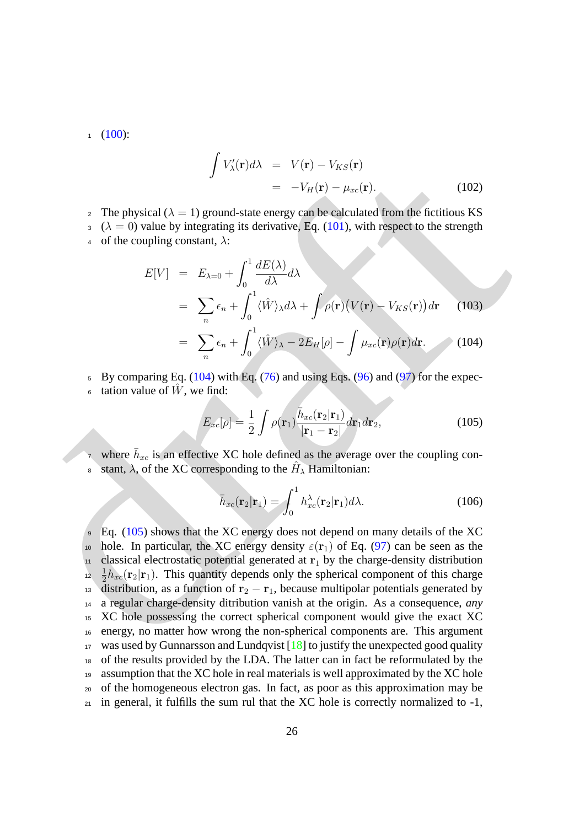$1 \quad (100):$  $1 \quad (100):$  $1 \quad (100):$ 

$$
\int V'_{\lambda}(\mathbf{r})d\lambda = V(\mathbf{r}) - V_{KS}(\mathbf{r})
$$

$$
= -V_H(\mathbf{r}) - \mu_{xc}(\mathbf{r}). \tag{102}
$$

- <sup>2</sup> The physical ( $\lambda = 1$ ) ground-state energy can be calculated from the fictitious KS
- $3 \ (\lambda = 0)$  value by integrating its derivative, Eq. (101), with respect to the strength
- 4 of the coupling constant,  $\lambda$ :

<span id="page-25-0"></span>
$$
E[V] = E_{\lambda=0} + \int_0^1 \frac{dE(\lambda)}{d\lambda} d\lambda
$$
  
=  $\sum_n \epsilon_n + \int_0^1 \langle \hat{W} \rangle_{\lambda} d\lambda + \int \rho(\mathbf{r}) (V(\mathbf{r}) - V_{KS}(\mathbf{r})) d\mathbf{r}$  (103)  
=  $\sum_{n} \epsilon_n + \int_0^1 \langle \hat{W} \rangle_{\lambda} + 2F_{\text{res}}[\rho] \int_{\Omega} \rho(\mathbf{r}) d\mathbf{r}$  (104)

$$
= \sum_{n} \epsilon_n + \int_0^1 \langle \hat{W} \rangle_{\lambda} - 2E_H[\rho] - \int \mu_{xc}(\mathbf{r}) \rho(\mathbf{r}) d\mathbf{r}.
$$
 (104)

- $5$  By comparing Eq. (104) with Eq. (76) and using Eqs. (96) and (97) for the expec-
- $\epsilon$  tation value of  $\hat{W}$ , we find:

<span id="page-25-1"></span>
$$
E_{xc}[\rho] = \frac{1}{2} \int \rho(\mathbf{r}_1) \frac{\bar{h}_{xc}(\mathbf{r}_2|\mathbf{r}_1)}{|\mathbf{r}_1 - \mathbf{r}_2|} d\mathbf{r}_1 d\mathbf{r}_2,
$$
(105)

- <sup>7</sup> where  $\bar{h}_{xc}$  is an effective XC hole defined as the average over the coupling con-
- s stant,  $\lambda$ , of the XC corresponding to the  $H_{\lambda}$  Hamiltonian:

$$
\bar{h}_{xc}(\mathbf{r}_2|\mathbf{r}_1) = \int_0^1 h_{xc}^\lambda(\mathbf{r}_2|\mathbf{r}_1)d\lambda.
$$
 (106)

 $\int V_{\lambda}(r)dx = V(r) + V_{\lambda}(r)$  $\int V_{\lambda}(r)dx = V(r) + V_{\lambda}(r)$  $\int V_{\lambda}(r)dx = V(r) + V_{\lambda}(r)$  $\int V_{\lambda}(r)dx = V(r) + V_{\lambda}(r)$ . (102)<br>
2 The physical ( $\lambda = 1$ ) groond-state energy can be calculated [f](#page-24-1)rom the fictitious KS<br>  $\lambda = 0$  value by integrating its derivative, Eq. (101), with respect to the strength<br>
4 of the coupli Eq. (105) shows that the XC energy does not depend on many details of the XC 10 hole. In particular, the XC energy density  $\varepsilon(\mathbf{r}_1)$  of Eq. (97) can be seen as the classical electrostatic potential generated at  $r_1$  by the charge-density distribution 1  $\frac{1}{2}h_{xc}(\mathbf{r}_2|\mathbf{r}_1)$ . This quantity depends only the spherical component of this charge 13 distribution, as a function of  $r_2 - r_1$ , because multipolar potentials generated by a regular charge-density ditribution vanish at the origin. As a consequence, *any* XC hole possessing the correct spherical component would give the exact XC energy, no matter how wrong the non-spherical components are. This argument was used by Gunnarsson and Lundqvist [\[18\]](#page-29-10) to justify the unexpected good quality of the results provided by the LDA. The latter can in fact be reformulated by the assumption that the XC hole in real materials is well approximated by the XC hole of the homogeneous electron gas. In fact, as poor as this approximation may be in general, it fulfills the sum rul that the XC hole is correctly normalized to  $-1$ ,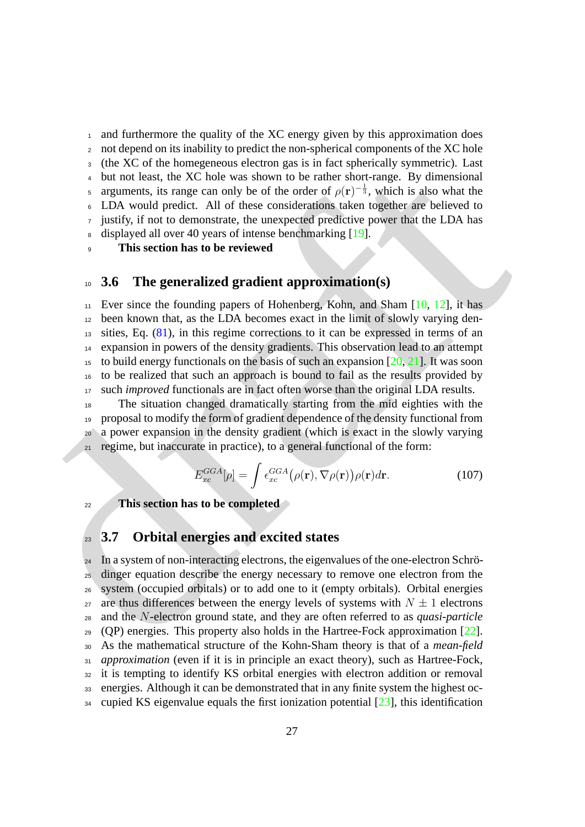and furthermore the quality of the XC energy given by this approximation does not depend on its inability to predict the non-spherical components of the XC hole (the XC of the homegeneous electron gas is in fact spherically symmetric). Last but not least, the XC hole was shown to be rather short-range. By dimensional arguments, its range can only be of the order of  $\rho(\mathbf{r})^{-\frac{1}{3}}$ , which is also what the LDA would predict. All of these considerations taken together are believed to justify, if not to demonstrate, the unexpected predictive power that the LDA has 8 displayed all over 40 years of intense benchmarking [19].

**This section has to be reviewed**

### <span id="page-26-0"></span>**3.6 The generalized gradient approximation(s)**

4 (on Accouse the b[a](#page-29-12)ckgrooms executing that in the production is that the set of the system and the system and the system and the system and the system is a signify, it much be state when the system of the system is a sig Ever since the founding papers of Hohenberg, Kohn, and Sham [10, 12], it has been known that, as the LDA becomes exact in the limit of slowly varying den- sities, Eq. (81), in this regime corrections to it can be expressed in terms of an expansion in powers of the density gradients. This observation lead to an attempt <sup>15</sup> to build energy functionals on the basis of such an expansion  $[20, 21]$ . It was soon to be realized that such an approach is bound to fail as the results provided by such *improved* functionals are in fact often worse than the original LDA results.

 The situation changed dramatically starting from the mid eighties with the proposal to modify the form of gradient dependence of the density functional from a power expansion in the density gradient (which is exact in the slowly varying  $_{21}$  regime, but inaccurate in practice), to a general functional of the form:

$$
E_{xc}^{GGA}[\rho] = \int \epsilon_{xc}^{GGA}(\rho(\mathbf{r}), \nabla \rho(\mathbf{r})) \rho(\mathbf{r}) d\mathbf{r}.
$$
 (107)

**This section has to be completed**

### <span id="page-26-1"></span>**3.7 Orbital energies and excited states**

 In a system of non-interacting electrons, the eigenvalues of the one-electron Schrö-<sup>25</sup> dinger equation describe the energy necessary to remove one electron from the system (occupied orbitals) or to add one to it (empty orbitals). Orbital energies <sub>27</sub> are thus differences between the energy levels of systems with  $N \pm 1$  electrons and the N-electron ground state, and they are often referred to as *quasi-particle* (QP) energies. This property also holds in the Hartree-Fock approximation  $[22]$ . As the mathematical structure of the Kohn-Sham theory is that of a *mean-field approximation* (even if it is in principle an exact theory), such as Hartree-Fock, it is tempting to identify KS orbital energies with electron addition or removal energies. Although it can be demonstrated that in any finite system the highest oc-cupied KS eigenvalue equals the first ionization potential [\[23\]](#page-29-15), this identification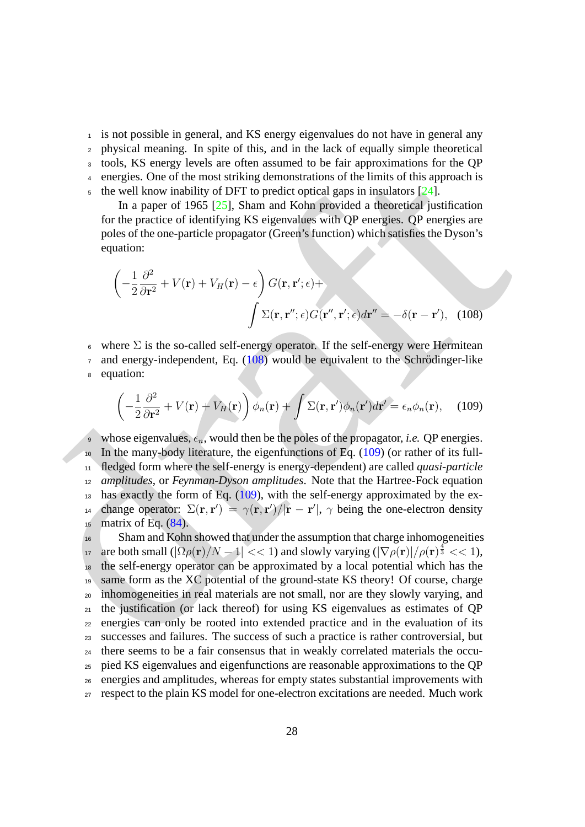<sup>1</sup> is not possible in general, and KS energy eigenvalues do not have in general any

<sup>2</sup> physical meaning. In spite of this, and in the lack of equally simple theoretical

<sup>3</sup> tools, KS energy levels are often assumed to be fair approximations for the QP

- <sup>4</sup> energies. One of the most striking demonstrations of the limits of this approach is
- $\frac{1}{2}$  the well know inability of DFT to predict optical gaps in insulators [24].

In a paper of 1965 [25], Sham and Kohn provided a theoretical justification for the practice of identifying KS eigenvalues with QP energies. QP energies are poles of the one-particle propagator (Green's function) which satisfies the Dyson's equation:

<span id="page-27-0"></span>
$$
\left(-\frac{1}{2}\frac{\partial^2}{\partial \mathbf{r}^2} + V(\mathbf{r}) + V_H(\mathbf{r}) - \epsilon\right) G(\mathbf{r}, \mathbf{r}'; \epsilon) + \int \Sigma(\mathbf{r}, \mathbf{r}''; \epsilon) G(\mathbf{r}''', \mathbf{r}'; \epsilon) d\mathbf{r}'' = -\delta(\mathbf{r} - \mathbf{r}'), \quad (108)
$$

 $6 \times \text{where } \Sigma \text{ is the so-called self-energy operator. If the self-energy were Hermitean.}$ 

 $\sigma$  and energy-independent, Eq. (108) would be equivalent to the Schrödinger-like <sup>8</sup> equation:

<span id="page-27-1"></span>
$$
\left(-\frac{1}{2}\frac{\partial^2}{\partial \mathbf{r}^2} + V(\mathbf{r}) + V_H(\mathbf{r})\right)\phi_n(\mathbf{r}) + \int \Sigma(\mathbf{r}, \mathbf{r}')\phi_n(\mathbf{r}')d\mathbf{r}' = \epsilon_n \phi_n(\mathbf{r}), \quad (109)
$$

<sup>9</sup> whose eigenvalues,  $\epsilon_n$ , would then be the poles of the propagator, *i.e.* QP energies.  $10$  In the many-body literature, the eigenfunctions of Eq. (109) (or rather of its full-<sup>11</sup> fledged form where the self-energy is energy-dependent) are called *quasi-particle* <sup>12</sup> *amplitudes*, or *Feynman-Dyson amplitudes*. Note that the Hartree-Fock equation  $_{13}$  has exactly the form of Eq. (109), with the self-energy approximated by the ex-14 change operator:  $\Sigma(\mathbf{r}, \mathbf{r}') = \gamma(\mathbf{r}, \mathbf{r}')/|\mathbf{r} - \mathbf{r}'|$ ,  $\gamma$  being the one-electron density  $15$  matrix of Eq.  $(84)$ .

4 complexs box of the most anticlaring [d](#page-22-2)emonst[r](#page-27-1)[a](#page-27-0)tions of the limits of this procedure of equations of the function of the second and the most striking demonstrations of the limits of this procedure is the velocity in The Sham and Kohn showed that under the assumption that charge inhomogeneities are both small  $(|\Omega \rho(\mathbf{r})/N - 1| << 1)$  and slowly varying  $(|\nabla \rho(\mathbf{r})|/\rho(\mathbf{r})^{\frac{4}{3}} << 1)$ , the self-energy operator can be approximated by a local potential which has the same form as the XC potential of the ground-state KS theory! Of course, charge inhomogeneities in real materials are not small, nor are they slowly varying, and  $_{21}$  the justification (or lack thereof) for using KS eigenvalues as estimates of OP energies can only be rooted into extended practice and in the evaluation of its successes and failures. The success of such a practice is rather controversial, but there seems to be a fair consensus that in weakly correlated materials the occu- pied KS eigenvalues and eigenfunctions are reasonable approximations to the QP energies and amplitudes, whereas for empty states substantial improvements with respect to the plain KS model for one-electron excitations are needed. Much work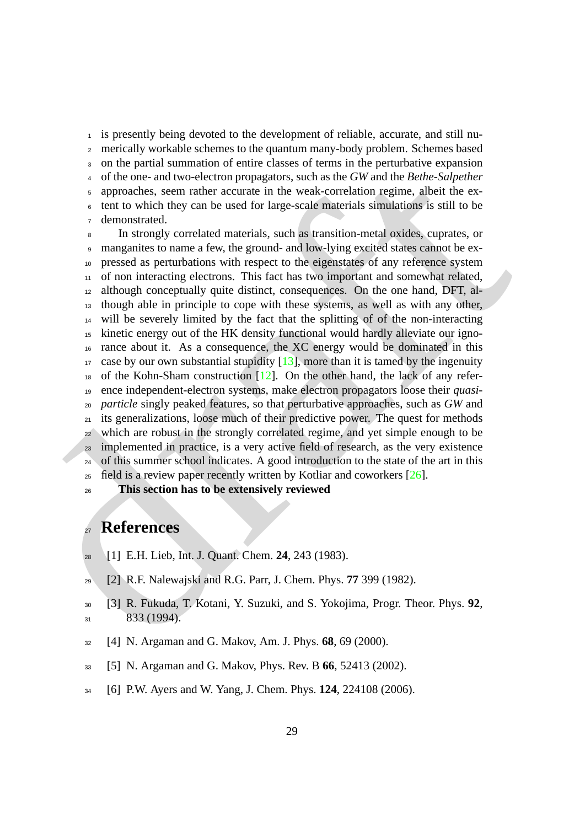is presently being devoted to the development of reliable, accurate, and still nu- merically workable schemes to the quantum many-body problem. Schemes based on the partial summation of entire classes of terms in the perturbative expansion of the one- and two-electron propagators, such as the *GW* and the *Bethe-Salpether* approaches, seem rather accurate in the weak-correlation regime, albeit the ex- tent to which they can be used for large-scale materials simulations is still to be demonstrated.

3 on the partial summation of each same that exacts of coluris and the beheaviour co-parameter in the weak-correlation propagators, such as the GW and the *Bethe Salpecher*<br>
2 optimals, seem inthe necessarial in the weak- In strongly correlated materials, such as transition-metal oxides, cuprates, or manganites to name a few, the ground- and low-lying excited states cannot be ex- pressed as perturbations with respect to the eigenstates of any reference system of non interacting electrons. This fact has two important and somewhat related, although conceptually quite distinct, consequences. On the one hand, DFT, al- though able in principle to cope with these systems, as well as with any other, will be severely limited by the fact that the splitting of of the non-interacting kinetic energy out of the HK density functional would hardly alleviate our igno- rance about it. As a consequence, the XC energy would be dominated in this case by our own substantial stupidity [13], more than it is tamed by the ingenuity of the Kohn-Sham construction [12]. On the other hand, the lack of any refer- ence independent-electron systems, make electron propagators loose their *quasi- particle* singly peaked features, so that perturbative approaches, such as *GW* and its generalizations, loose much of their predictive power. The quest for methods which are robust in the strongly correlated regime, and yet simple enough to be implemented in practice, is a very active field of research, as the very existence of this summer school indicates. A good introduction to the state of the art in this field is a review paper recently written by Kotliar and coworkers [26].

**This section has to be extensively reviewed**

### **References**

- <span id="page-28-0"></span>[1] E.H. Lieb, Int. J. Quant. Chem. **24**, 243 (1983).
- <span id="page-28-1"></span>[2] R.F. Nalewajski and R.G. Parr, J. Chem. Phys. **77** 399 (1982).
- <span id="page-28-2"></span> [3] R. Fukuda, T. Kotani, Y. Suzuki, and S. Yokojima, Progr. Theor. Phys. **92**, 833 (1994).
- <span id="page-28-3"></span>[4] N. Argaman and G. Makov, Am. J. Phys. **68**, 69 (2000).
- <span id="page-28-4"></span>[5] N. Argaman and G. Makov, Phys. Rev. B **66**, 52413 (2002).
- <span id="page-28-5"></span>[6] P.W. Ayers and W. Yang, J. Chem. Phys. **124**, 224108 (2006).